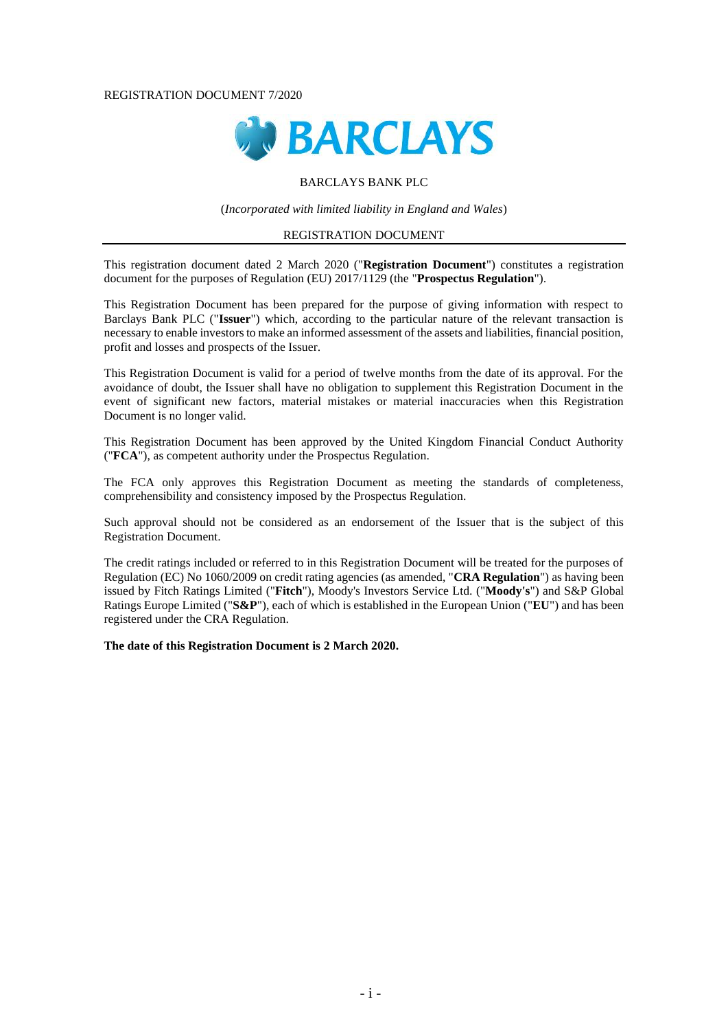#### REGISTRATION DOCUMENT 7/2020



### BARCLAYS BANK PLC

(*Incorporated with limited liability in England and Wales*)

#### REGISTRATION DOCUMENT

This registration document dated 2 March 2020 ("**Registration Document**") constitutes a registration document for the purposes of Regulation (EU) 2017/1129 (the "**Prospectus Regulation**").

This Registration Document has been prepared for the purpose of giving information with respect to Barclays Bank PLC ("**Issuer**") which, according to the particular nature of the relevant transaction is necessary to enable investors to make an informed assessment of the assets and liabilities, financial position, profit and losses and prospects of the Issuer.

This Registration Document is valid for a period of twelve months from the date of its approval. For the avoidance of doubt, the Issuer shall have no obligation to supplement this Registration Document in the event of significant new factors, material mistakes or material inaccuracies when this Registration Document is no longer valid.

This Registration Document has been approved by the United Kingdom Financial Conduct Authority ("**FCA**"), as competent authority under the Prospectus Regulation.

The FCA only approves this Registration Document as meeting the standards of completeness, comprehensibility and consistency imposed by the Prospectus Regulation.

Such approval should not be considered as an endorsement of the Issuer that is the subject of this Registration Document.

The credit ratings included or referred to in this Registration Document will be treated for the purposes of Regulation (EC) No 1060/2009 on credit rating agencies (as amended, "**CRA Regulation**") as having been issued by Fitch Ratings Limited ("**Fitch**"), Moody's Investors Service Ltd. ("**Moody's**") and S&P Global Ratings Europe Limited ("**S&P**"), each of which is established in the European Union ("**EU**") and has been registered under the CRA Regulation.

**The date of this Registration Document is 2 March 2020.**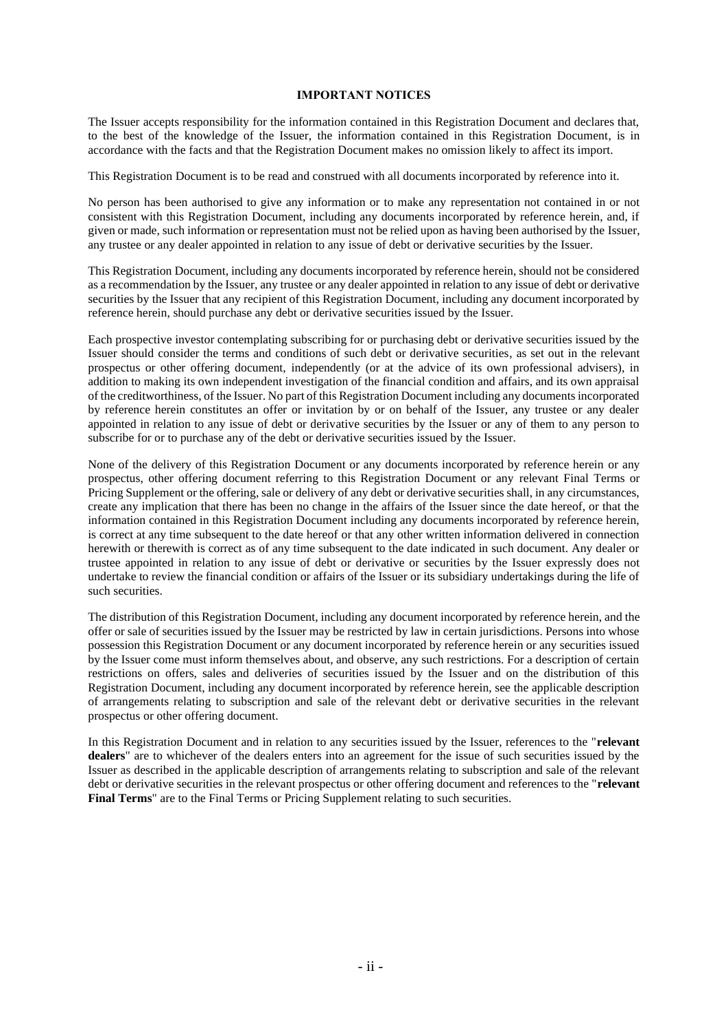#### **IMPORTANT NOTICES**

The Issuer accepts responsibility for the information contained in this Registration Document and declares that, to the best of the knowledge of the Issuer, the information contained in this Registration Document, is in accordance with the facts and that the Registration Document makes no omission likely to affect its import.

This Registration Document is to be read and construed with all documents incorporated by reference into it.

No person has been authorised to give any information or to make any representation not contained in or not consistent with this Registration Document, including any documents incorporated by reference herein, and, if given or made, such information or representation must not be relied upon as having been authorised by the Issuer, any trustee or any dealer appointed in relation to any issue of debt or derivative securities by the Issuer.

This Registration Document, including any documents incorporated by reference herein, should not be considered as a recommendation by the Issuer, any trustee or any dealer appointed in relation to any issue of debt or derivative securities by the Issuer that any recipient of this Registration Document, including any document incorporated by reference herein, should purchase any debt or derivative securities issued by the Issuer.

Each prospective investor contemplating subscribing for or purchasing debt or derivative securities issued by the Issuer should consider the terms and conditions of such debt or derivative securities, as set out in the relevant prospectus or other offering document, independently (or at the advice of its own professional advisers), in addition to making its own independent investigation of the financial condition and affairs, and its own appraisal of the creditworthiness, of the Issuer. No part of this Registration Document including any documents incorporated by reference herein constitutes an offer or invitation by or on behalf of the Issuer, any trustee or any dealer appointed in relation to any issue of debt or derivative securities by the Issuer or any of them to any person to subscribe for or to purchase any of the debt or derivative securities issued by the Issuer.

None of the delivery of this Registration Document or any documents incorporated by reference herein or any prospectus, other offering document referring to this Registration Document or any relevant Final Terms or Pricing Supplement or the offering, sale or delivery of any debt or derivative securities shall, in any circumstances, create any implication that there has been no change in the affairs of the Issuer since the date hereof, or that the information contained in this Registration Document including any documents incorporated by reference herein, is correct at any time subsequent to the date hereof or that any other written information delivered in connection herewith or therewith is correct as of any time subsequent to the date indicated in such document. Any dealer or trustee appointed in relation to any issue of debt or derivative or securities by the Issuer expressly does not undertake to review the financial condition or affairs of the Issuer or its subsidiary undertakings during the life of such securities.

The distribution of this Registration Document, including any document incorporated by reference herein, and the offer or sale of securities issued by the Issuer may be restricted by law in certain jurisdictions. Persons into whose possession this Registration Document or any document incorporated by reference herein or any securities issued by the Issuer come must inform themselves about, and observe, any such restrictions. For a description of certain restrictions on offers, sales and deliveries of securities issued by the Issuer and on the distribution of this Registration Document, including any document incorporated by reference herein, see the applicable description of arrangements relating to subscription and sale of the relevant debt or derivative securities in the relevant prospectus or other offering document.

In this Registration Document and in relation to any securities issued by the Issuer, references to the "**relevant dealers**" are to whichever of the dealers enters into an agreement for the issue of such securities issued by the Issuer as described in the applicable description of arrangements relating to subscription and sale of the relevant debt or derivative securities in the relevant prospectus or other offering document and references to the "**relevant Final Terms**" are to the Final Terms or Pricing Supplement relating to such securities.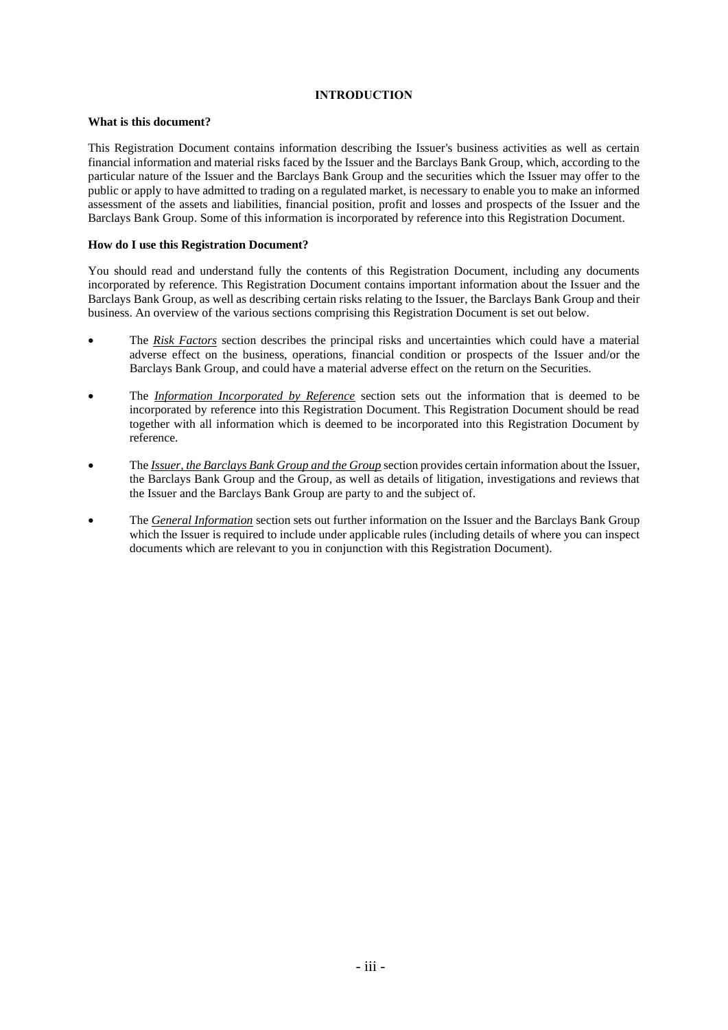# **INTRODUCTION**

### **What is this document?**

This Registration Document contains information describing the Issuer's business activities as well as certain financial information and material risks faced by the Issuer and the Barclays Bank Group, which, according to the particular nature of the Issuer and the Barclays Bank Group and the securities which the Issuer may offer to the public or apply to have admitted to trading on a regulated market, is necessary to enable you to make an informed assessment of the assets and liabilities, financial position, profit and losses and prospects of the Issuer and the Barclays Bank Group. Some of this information is incorporated by reference into this Registration Document.

#### **How do I use this Registration Document?**

You should read and understand fully the contents of this Registration Document, including any documents incorporated by reference. This Registration Document contains important information about the Issuer and the Barclays Bank Group, as well as describing certain risks relating to the Issuer, the Barclays Bank Group and their business. An overview of the various sections comprising this Registration Document is set out below.

- The *Risk Factors* section describes the principal risks and uncertainties which could have a material adverse effect on the business, operations, financial condition or prospects of the Issuer and/or the Barclays Bank Group, and could have a material adverse effect on the return on the Securities.
- The *Information Incorporated by Reference* section sets out the information that is deemed to be incorporated by reference into this Registration Document. This Registration Document should be read together with all information which is deemed to be incorporated into this Registration Document by reference.
- The *Issuer, the Barclays Bank Group and the Group* section provides certain information about the Issuer, the Barclays Bank Group and the Group, as well as details of litigation, investigations and reviews that the Issuer and the Barclays Bank Group are party to and the subject of.
- The *General Information* section sets out further information on the Issuer and the Barclays Bank Group which the Issuer is required to include under applicable rules (including details of where you can inspect documents which are relevant to you in conjunction with this Registration Document).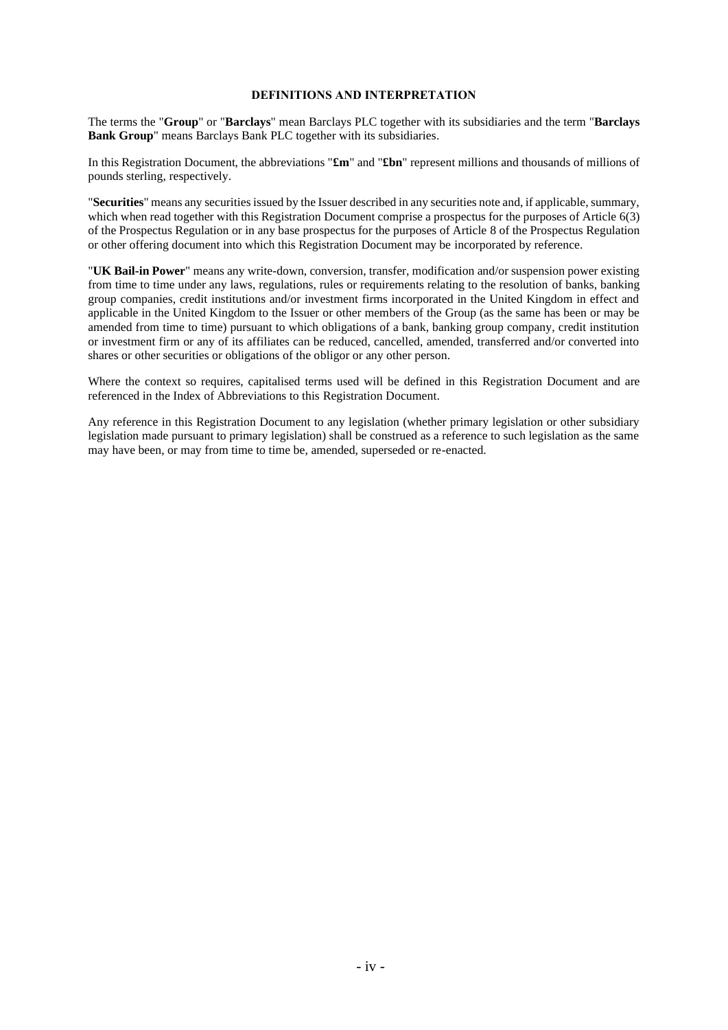#### **DEFINITIONS AND INTERPRETATION**

The terms the "**Group**" or "**Barclays**" mean Barclays PLC together with its subsidiaries and the term "**Barclays Bank Group**" means Barclays Bank PLC together with its subsidiaries.

In this Registration Document, the abbreviations "**£m**" and "**£bn**" represent millions and thousands of millions of pounds sterling, respectively.

"**Securities**" means any securities issued by the Issuer described in any securities note and, if applicable, summary, which when read together with this Registration Document comprise a prospectus for the purposes of Article 6(3) of the Prospectus Regulation or in any base prospectus for the purposes of Article 8 of the Prospectus Regulation or other offering document into which this Registration Document may be incorporated by reference.

"**UK Bail-in Power**" means any write-down, conversion, transfer, modification and/or suspension power existing from time to time under any laws, regulations, rules or requirements relating to the resolution of banks, banking group companies, credit institutions and/or investment firms incorporated in the United Kingdom in effect and applicable in the United Kingdom to the Issuer or other members of the Group (as the same has been or may be amended from time to time) pursuant to which obligations of a bank, banking group company, credit institution or investment firm or any of its affiliates can be reduced, cancelled, amended, transferred and/or converted into shares or other securities or obligations of the obligor or any other person.

Where the context so requires, capitalised terms used will be defined in this Registration Document and are referenced in the Index of Abbreviations to this Registration Document.

Any reference in this Registration Document to any legislation (whether primary legislation or other subsidiary legislation made pursuant to primary legislation) shall be construed as a reference to such legislation as the same may have been, or may from time to time be, amended, superseded or re-enacted.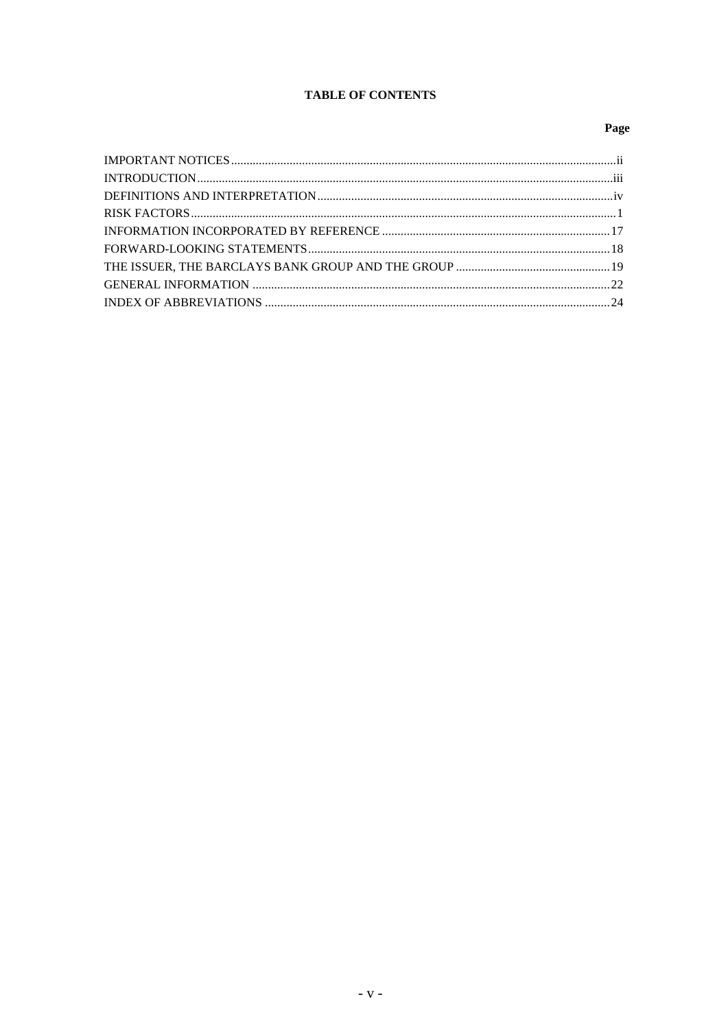# **TABLE OF CONTENTS**

# Page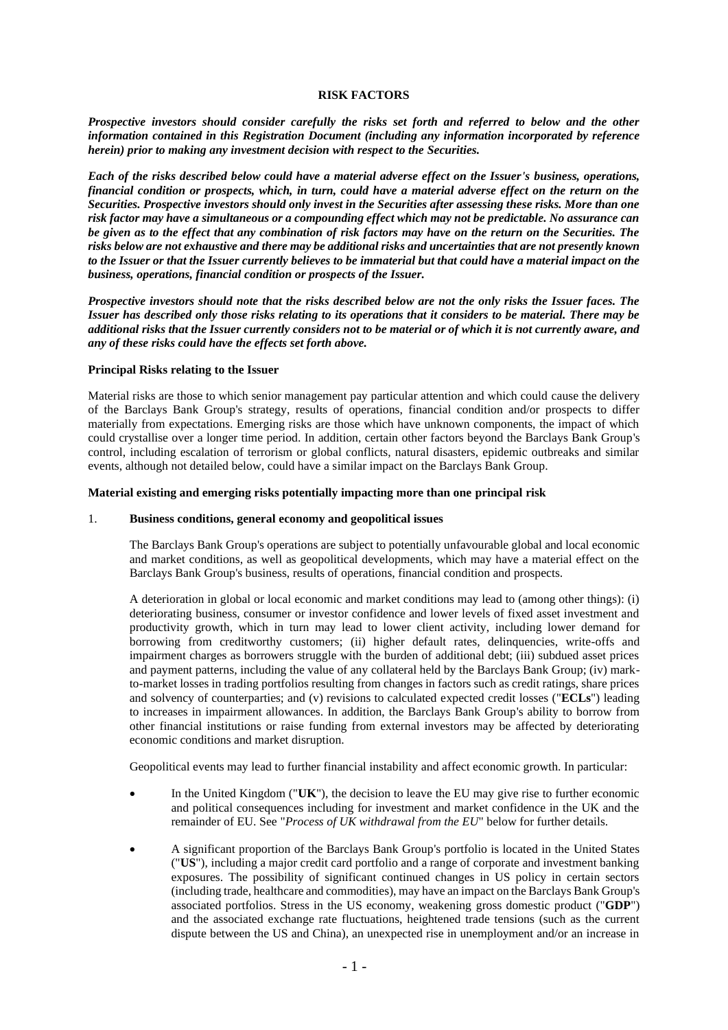#### **RISK FACTORS**

*Prospective investors should consider carefully the risks set forth and referred to below and the other information contained in this Registration Document (including any information incorporated by reference herein) prior to making any investment decision with respect to the Securities.*

*Each of the risks described below could have a material adverse effect on the Issuer's business, operations, financial condition or prospects, which, in turn, could have a material adverse effect on the return on the Securities. Prospective investors should only invest in the Securities after assessing these risks. More than one risk factor may have a simultaneous or a compounding effect which may not be predictable. No assurance can be given as to the effect that any combination of risk factors may have on the return on the Securities. The risks below are not exhaustive and there may be additional risks and uncertainties that are not presently known to the Issuer or that the Issuer currently believes to be immaterial but that could have a material impact on the business, operations, financial condition or prospects of the Issuer.*

*Prospective investors should note that the risks described below are not the only risks the Issuer faces. The Issuer has described only those risks relating to its operations that it considers to be material. There may be additional risks that the Issuer currently considers not to be material or of which it is not currently aware, and any of these risks could have the effects set forth above.*

#### **Principal Risks relating to the Issuer**

Material risks are those to which senior management pay particular attention and which could cause the delivery of the Barclays Bank Group's strategy, results of operations, financial condition and/or prospects to differ materially from expectations. Emerging risks are those which have unknown components, the impact of which could crystallise over a longer time period. In addition, certain other factors beyond the Barclays Bank Group's control, including escalation of terrorism or global conflicts, natural disasters, epidemic outbreaks and similar events, although not detailed below, could have a similar impact on the Barclays Bank Group.

#### **Material existing and emerging risks potentially impacting more than one principal risk**

#### 1. **Business conditions, general economy and geopolitical issues**

The Barclays Bank Group's operations are subject to potentially unfavourable global and local economic and market conditions, as well as geopolitical developments, which may have a material effect on the Barclays Bank Group's business, results of operations, financial condition and prospects.

A deterioration in global or local economic and market conditions may lead to (among other things): (i) deteriorating business, consumer or investor confidence and lower levels of fixed asset investment and productivity growth, which in turn may lead to lower client activity, including lower demand for borrowing from creditworthy customers; (ii) higher default rates, delinquencies, write-offs and impairment charges as borrowers struggle with the burden of additional debt; (iii) subdued asset prices and payment patterns, including the value of any collateral held by the Barclays Bank Group; (iv) markto-market losses in trading portfolios resulting from changes in factors such as credit ratings, share prices and solvency of counterparties; and (v) revisions to calculated expected credit losses ("**ECLs**") leading to increases in impairment allowances. In addition, the Barclays Bank Group's ability to borrow from other financial institutions or raise funding from external investors may be affected by deteriorating economic conditions and market disruption.

Geopolitical events may lead to further financial instability and affect economic growth. In particular:

- In the United Kingdom ("**UK**"), the decision to leave the EU may give rise to further economic and political consequences including for investment and market confidence in the UK and the remainder of EU. See "*Process of UK withdrawal from the EU*" below for further details.
- A significant proportion of the Barclays Bank Group's portfolio is located in the United States ("**US**"), including a major credit card portfolio and a range of corporate and investment banking exposures. The possibility of significant continued changes in US policy in certain sectors (including trade, healthcare and commodities), may have an impact on the Barclays Bank Group's associated portfolios. Stress in the US economy, weakening gross domestic product ("**GDP**") and the associated exchange rate fluctuations, heightened trade tensions (such as the current dispute between the US and China), an unexpected rise in unemployment and/or an increase in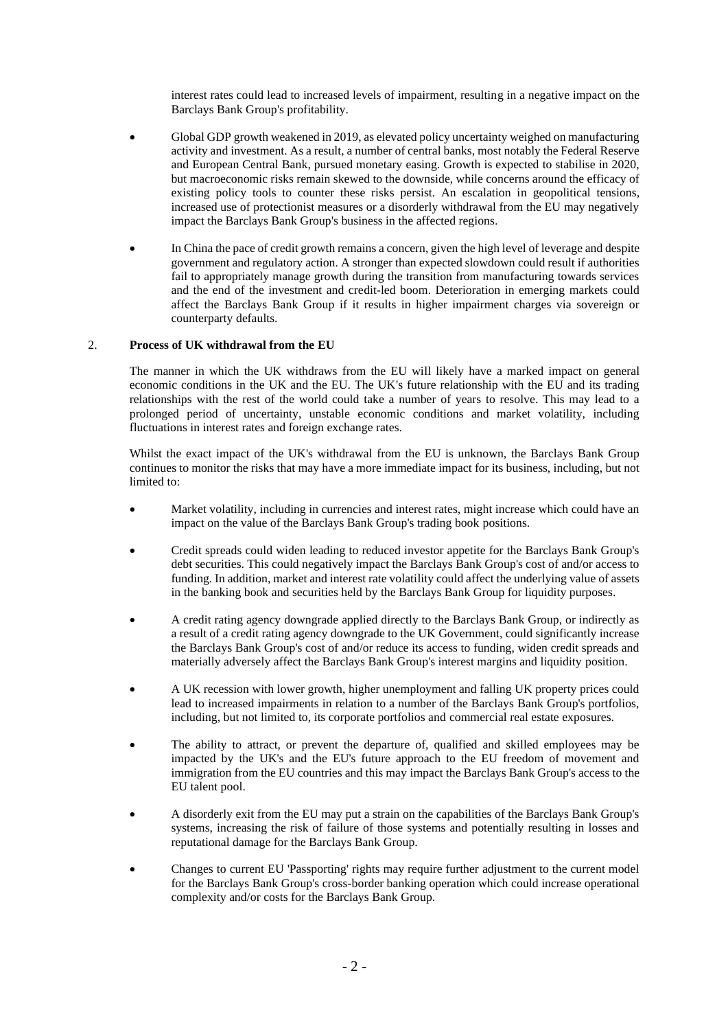interest rates could lead to increased levels of impairment, resulting in a negative impact on the Barclays Bank Group's profitability.

- Global GDP growth weakened in 2019, as elevated policy uncertainty weighed on manufacturing activity and investment. As a result, a number of central banks, most notably the Federal Reserve and European Central Bank, pursued monetary easing. Growth is expected to stabilise in 2020, but macroeconomic risks remain skewed to the downside, while concerns around the efficacy of existing policy tools to counter these risks persist. An escalation in geopolitical tensions, increased use of protectionist measures or a disorderly withdrawal from the EU may negatively impact the Barclays Bank Group's business in the affected regions.
- In China the pace of credit growth remains a concern, given the high level of leverage and despite government and regulatory action. A stronger than expected slowdown could result if authorities fail to appropriately manage growth during the transition from manufacturing towards services and the end of the investment and credit-led boom. Deterioration in emerging markets could affect the Barclays Bank Group if it results in higher impairment charges via sovereign or counterparty defaults.

### 2. **Process of UK withdrawal from the EU**

The manner in which the UK withdraws from the EU will likely have a marked impact on general economic conditions in the UK and the EU. The UK's future relationship with the EU and its trading relationships with the rest of the world could take a number of years to resolve. This may lead to a prolonged period of uncertainty, unstable economic conditions and market volatility, including fluctuations in interest rates and foreign exchange rates.

Whilst the exact impact of the UK's withdrawal from the EU is unknown, the Barclays Bank Group continues to monitor the risks that may have a more immediate impact for its business, including, but not limited to:

- Market volatility, including in currencies and interest rates, might increase which could have an impact on the value of the Barclays Bank Group's trading book positions.
- Credit spreads could widen leading to reduced investor appetite for the Barclays Bank Group's debt securities. This could negatively impact the Barclays Bank Group's cost of and/or access to funding. In addition, market and interest rate volatility could affect the underlying value of assets in the banking book and securities held by the Barclays Bank Group for liquidity purposes.
- A credit rating agency downgrade applied directly to the Barclays Bank Group, or indirectly as a result of a credit rating agency downgrade to the UK Government, could significantly increase the Barclays Bank Group's cost of and/or reduce its access to funding, widen credit spreads and materially adversely affect the Barclays Bank Group's interest margins and liquidity position.
- A UK recession with lower growth, higher unemployment and falling UK property prices could lead to increased impairments in relation to a number of the Barclays Bank Group's portfolios, including, but not limited to, its corporate portfolios and commercial real estate exposures.
- The ability to attract, or prevent the departure of, qualified and skilled employees may be impacted by the UK's and the EU's future approach to the EU freedom of movement and immigration from the EU countries and this may impact the Barclays Bank Group's access to the EU talent pool.
- A disorderly exit from the EU may put a strain on the capabilities of the Barclays Bank Group's systems, increasing the risk of failure of those systems and potentially resulting in losses and reputational damage for the Barclays Bank Group.
- Changes to current EU 'Passporting' rights may require further adjustment to the current model for the Barclays Bank Group's cross-border banking operation which could increase operational complexity and/or costs for the Barclays Bank Group.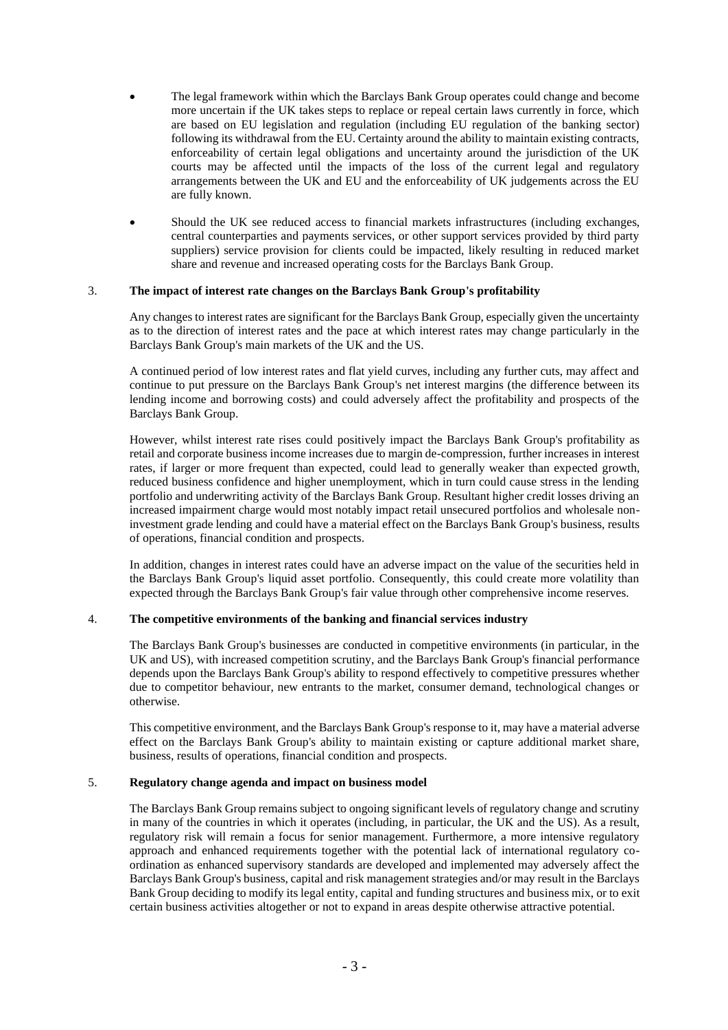- The legal framework within which the Barclays Bank Group operates could change and become more uncertain if the UK takes steps to replace or repeal certain laws currently in force, which are based on EU legislation and regulation (including EU regulation of the banking sector) following its withdrawal from the EU. Certainty around the ability to maintain existing contracts, enforceability of certain legal obligations and uncertainty around the jurisdiction of the UK courts may be affected until the impacts of the loss of the current legal and regulatory arrangements between the UK and EU and the enforceability of UK judgements across the EU are fully known.
- Should the UK see reduced access to financial markets infrastructures (including exchanges, central counterparties and payments services, or other support services provided by third party suppliers) service provision for clients could be impacted, likely resulting in reduced market share and revenue and increased operating costs for the Barclays Bank Group.

### 3. **The impact of interest rate changes on the Barclays Bank Group's profitability**

Any changes to interest rates are significant for the Barclays Bank Group, especially given the uncertainty as to the direction of interest rates and the pace at which interest rates may change particularly in the Barclays Bank Group's main markets of the UK and the US.

A continued period of low interest rates and flat yield curves, including any further cuts, may affect and continue to put pressure on the Barclays Bank Group's net interest margins (the difference between its lending income and borrowing costs) and could adversely affect the profitability and prospects of the Barclays Bank Group.

However, whilst interest rate rises could positively impact the Barclays Bank Group's profitability as retail and corporate business income increases due to margin de-compression, further increases in interest rates, if larger or more frequent than expected, could lead to generally weaker than expected growth, reduced business confidence and higher unemployment, which in turn could cause stress in the lending portfolio and underwriting activity of the Barclays Bank Group. Resultant higher credit losses driving an increased impairment charge would most notably impact retail unsecured portfolios and wholesale noninvestment grade lending and could have a material effect on the Barclays Bank Group's business, results of operations, financial condition and prospects.

In addition, changes in interest rates could have an adverse impact on the value of the securities held in the Barclays Bank Group's liquid asset portfolio. Consequently, this could create more volatility than expected through the Barclays Bank Group's fair value through other comprehensive income reserves.

### 4. **The competitive environments of the banking and financial services industry**

The Barclays Bank Group's businesses are conducted in competitive environments (in particular, in the UK and US), with increased competition scrutiny, and the Barclays Bank Group's financial performance depends upon the Barclays Bank Group's ability to respond effectively to competitive pressures whether due to competitor behaviour, new entrants to the market, consumer demand, technological changes or otherwise.

This competitive environment, and the Barclays Bank Group's response to it, may have a material adverse effect on the Barclays Bank Group's ability to maintain existing or capture additional market share, business, results of operations, financial condition and prospects.

### 5. **Regulatory change agenda and impact on business model**

The Barclays Bank Group remains subject to ongoing significant levels of regulatory change and scrutiny in many of the countries in which it operates (including, in particular, the UK and the US). As a result, regulatory risk will remain a focus for senior management. Furthermore, a more intensive regulatory approach and enhanced requirements together with the potential lack of international regulatory coordination as enhanced supervisory standards are developed and implemented may adversely affect the Barclays Bank Group's business, capital and risk management strategies and/or may result in the Barclays Bank Group deciding to modify its legal entity, capital and funding structures and business mix, or to exit certain business activities altogether or not to expand in areas despite otherwise attractive potential.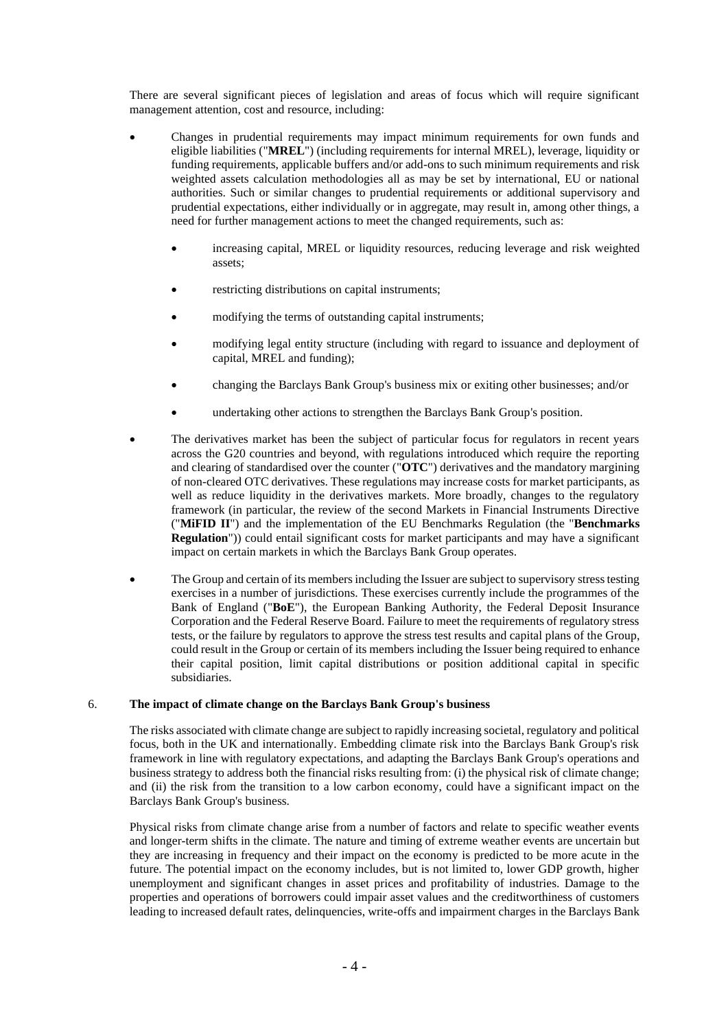There are several significant pieces of legislation and areas of focus which will require significant management attention, cost and resource, including:

- Changes in prudential requirements may impact minimum requirements for own funds and eligible liabilities ("**MREL**") (including requirements for internal MREL), leverage, liquidity or funding requirements, applicable buffers and/or add-ons to such minimum requirements and risk weighted assets calculation methodologies all as may be set by international, EU or national authorities. Such or similar changes to prudential requirements or additional supervisory and prudential expectations, either individually or in aggregate, may result in, among other things, a need for further management actions to meet the changed requirements, such as:
	- increasing capital, MREL or liquidity resources, reducing leverage and risk weighted assets;
	- restricting distributions on capital instruments;
	- modifying the terms of outstanding capital instruments;
	- modifying legal entity structure (including with regard to issuance and deployment of capital, MREL and funding);
	- changing the Barclays Bank Group's business mix or exiting other businesses; and/or
	- undertaking other actions to strengthen the Barclays Bank Group's position.
- The derivatives market has been the subject of particular focus for regulators in recent years across the G20 countries and beyond, with regulations introduced which require the reporting and clearing of standardised over the counter ("**OTC**") derivatives and the mandatory margining of non-cleared OTC derivatives. These regulations may increase costs for market participants, as well as reduce liquidity in the derivatives markets. More broadly, changes to the regulatory framework (in particular, the review of the second Markets in Financial Instruments Directive ("**MiFID II**") and the implementation of the EU Benchmarks Regulation (the "**Benchmarks Regulation**")) could entail significant costs for market participants and may have a significant impact on certain markets in which the Barclays Bank Group operates.
- The Group and certain of its members including the Issuer are subject to supervisory stress testing exercises in a number of jurisdictions. These exercises currently include the programmes of the Bank of England ("**BoE**"), the European Banking Authority, the Federal Deposit Insurance Corporation and the Federal Reserve Board. Failure to meet the requirements of regulatory stress tests, or the failure by regulators to approve the stress test results and capital plans of the Group, could result in the Group or certain of its members including the Issuer being required to enhance their capital position, limit capital distributions or position additional capital in specific subsidiaries.

### 6. **The impact of climate change on the Barclays Bank Group's business**

The risks associated with climate change are subject to rapidly increasing societal, regulatory and political focus, both in the UK and internationally. Embedding climate risk into the Barclays Bank Group's risk framework in line with regulatory expectations, and adapting the Barclays Bank Group's operations and business strategy to address both the financial risks resulting from: (i) the physical risk of climate change; and (ii) the risk from the transition to a low carbon economy, could have a significant impact on the Barclays Bank Group's business.

Physical risks from climate change arise from a number of factors and relate to specific weather events and longer-term shifts in the climate. The nature and timing of extreme weather events are uncertain but they are increasing in frequency and their impact on the economy is predicted to be more acute in the future. The potential impact on the economy includes, but is not limited to, lower GDP growth, higher unemployment and significant changes in asset prices and profitability of industries. Damage to the properties and operations of borrowers could impair asset values and the creditworthiness of customers leading to increased default rates, delinquencies, write-offs and impairment charges in the Barclays Bank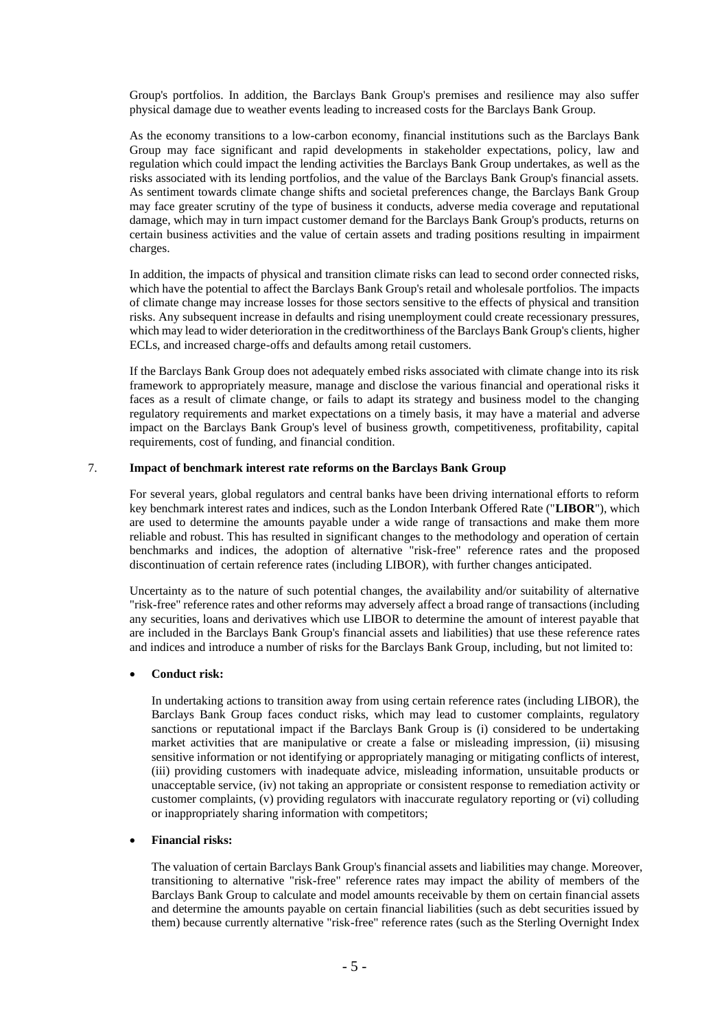Group's portfolios. In addition, the Barclays Bank Group's premises and resilience may also suffer physical damage due to weather events leading to increased costs for the Barclays Bank Group.

As the economy transitions to a low-carbon economy, financial institutions such as the Barclays Bank Group may face significant and rapid developments in stakeholder expectations, policy, law and regulation which could impact the lending activities the Barclays Bank Group undertakes, as well as the risks associated with its lending portfolios, and the value of the Barclays Bank Group's financial assets. As sentiment towards climate change shifts and societal preferences change, the Barclays Bank Group may face greater scrutiny of the type of business it conducts, adverse media coverage and reputational damage, which may in turn impact customer demand for the Barclays Bank Group's products, returns on certain business activities and the value of certain assets and trading positions resulting in impairment charges.

In addition, the impacts of physical and transition climate risks can lead to second order connected risks, which have the potential to affect the Barclays Bank Group's retail and wholesale portfolios. The impacts of climate change may increase losses for those sectors sensitive to the effects of physical and transition risks. Any subsequent increase in defaults and rising unemployment could create recessionary pressures, which may lead to wider deterioration in the creditworthiness of the Barclays Bank Group's clients, higher ECLs, and increased charge-offs and defaults among retail customers.

If the Barclays Bank Group does not adequately embed risks associated with climate change into its risk framework to appropriately measure, manage and disclose the various financial and operational risks it faces as a result of climate change, or fails to adapt its strategy and business model to the changing regulatory requirements and market expectations on a timely basis, it may have a material and adverse impact on the Barclays Bank Group's level of business growth, competitiveness, profitability, capital requirements, cost of funding, and financial condition.

#### 7. **Impact of benchmark interest rate reforms on the Barclays Bank Group**

For several years, global regulators and central banks have been driving international efforts to reform key benchmark interest rates and indices, such as the London Interbank Offered Rate ("**LIBOR**"), which are used to determine the amounts payable under a wide range of transactions and make them more reliable and robust. This has resulted in significant changes to the methodology and operation of certain benchmarks and indices, the adoption of alternative "risk-free" reference rates and the proposed discontinuation of certain reference rates (including LIBOR), with further changes anticipated.

Uncertainty as to the nature of such potential changes, the availability and/or suitability of alternative "risk-free" reference rates and other reforms may adversely affect a broad range of transactions (including any securities, loans and derivatives which use LIBOR to determine the amount of interest payable that are included in the Barclays Bank Group's financial assets and liabilities) that use these reference rates and indices and introduce a number of risks for the Barclays Bank Group, including, but not limited to:

#### • **Conduct risk:**

In undertaking actions to transition away from using certain reference rates (including LIBOR), the Barclays Bank Group faces conduct risks, which may lead to customer complaints, regulatory sanctions or reputational impact if the Barclays Bank Group is (i) considered to be undertaking market activities that are manipulative or create a false or misleading impression, (ii) misusing sensitive information or not identifying or appropriately managing or mitigating conflicts of interest, (iii) providing customers with inadequate advice, misleading information, unsuitable products or unacceptable service, (iv) not taking an appropriate or consistent response to remediation activity or customer complaints, (v) providing regulators with inaccurate regulatory reporting or (vi) colluding or inappropriately sharing information with competitors;

#### • **Financial risks:**

The valuation of certain Barclays Bank Group's financial assets and liabilities may change. Moreover, transitioning to alternative "risk-free" reference rates may impact the ability of members of the Barclays Bank Group to calculate and model amounts receivable by them on certain financial assets and determine the amounts payable on certain financial liabilities (such as debt securities issued by them) because currently alternative "risk-free" reference rates (such as the Sterling Overnight Index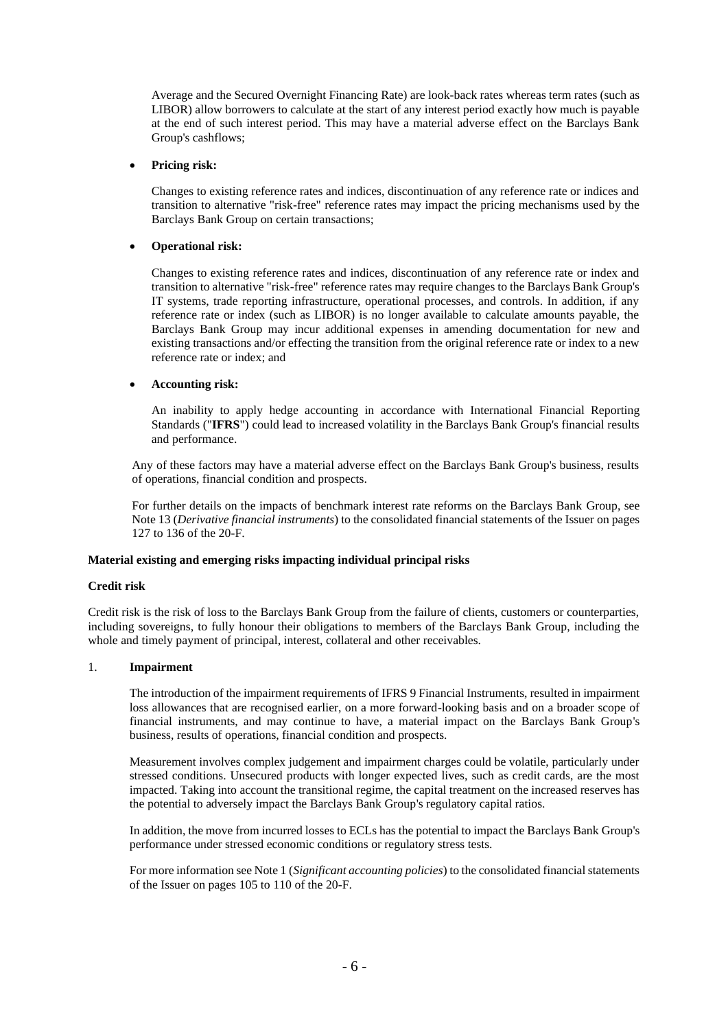Average and the Secured Overnight Financing Rate) are look-back rates whereas term rates (such as LIBOR) allow borrowers to calculate at the start of any interest period exactly how much is payable at the end of such interest period. This may have a material adverse effect on the Barclays Bank Group's cashflows;

### • **Pricing risk:**

Changes to existing reference rates and indices, discontinuation of any reference rate or indices and transition to alternative "risk-free" reference rates may impact the pricing mechanisms used by the Barclays Bank Group on certain transactions;

#### • **Operational risk:**

Changes to existing reference rates and indices, discontinuation of any reference rate or index and transition to alternative "risk-free" reference rates may require changes to the Barclays Bank Group's IT systems, trade reporting infrastructure, operational processes, and controls. In addition, if any reference rate or index (such as LIBOR) is no longer available to calculate amounts payable, the Barclays Bank Group may incur additional expenses in amending documentation for new and existing transactions and/or effecting the transition from the original reference rate or index to a new reference rate or index; and

#### • **Accounting risk:**

An inability to apply hedge accounting in accordance with International Financial Reporting Standards ("**IFRS**") could lead to increased volatility in the Barclays Bank Group's financial results and performance.

Any of these factors may have a material adverse effect on the Barclays Bank Group's business, results of operations, financial condition and prospects.

For further details on the impacts of benchmark interest rate reforms on the Barclays Bank Group, see Note 13 (*Derivative financial instruments*) to the consolidated financial statements of the Issuer on pages 127 to 136 of the 20-F.

### **Material existing and emerging risks impacting individual principal risks**

#### **Credit risk**

Credit risk is the risk of loss to the Barclays Bank Group from the failure of clients, customers or counterparties, including sovereigns, to fully honour their obligations to members of the Barclays Bank Group, including the whole and timely payment of principal, interest, collateral and other receivables.

### 1. **Impairment**

The introduction of the impairment requirements of IFRS 9 Financial Instruments, resulted in impairment loss allowances that are recognised earlier, on a more forward-looking basis and on a broader scope of financial instruments, and may continue to have, a material impact on the Barclays Bank Group's business, results of operations, financial condition and prospects.

Measurement involves complex judgement and impairment charges could be volatile, particularly under stressed conditions. Unsecured products with longer expected lives, such as credit cards, are the most impacted. Taking into account the transitional regime, the capital treatment on the increased reserves has the potential to adversely impact the Barclays Bank Group's regulatory capital ratios.

In addition, the move from incurred losses to ECLs has the potential to impact the Barclays Bank Group's performance under stressed economic conditions or regulatory stress tests.

For more information see Note 1 (*Significant accounting policies*) to the consolidated financial statements of the Issuer on pages 105 to 110 of the 20-F.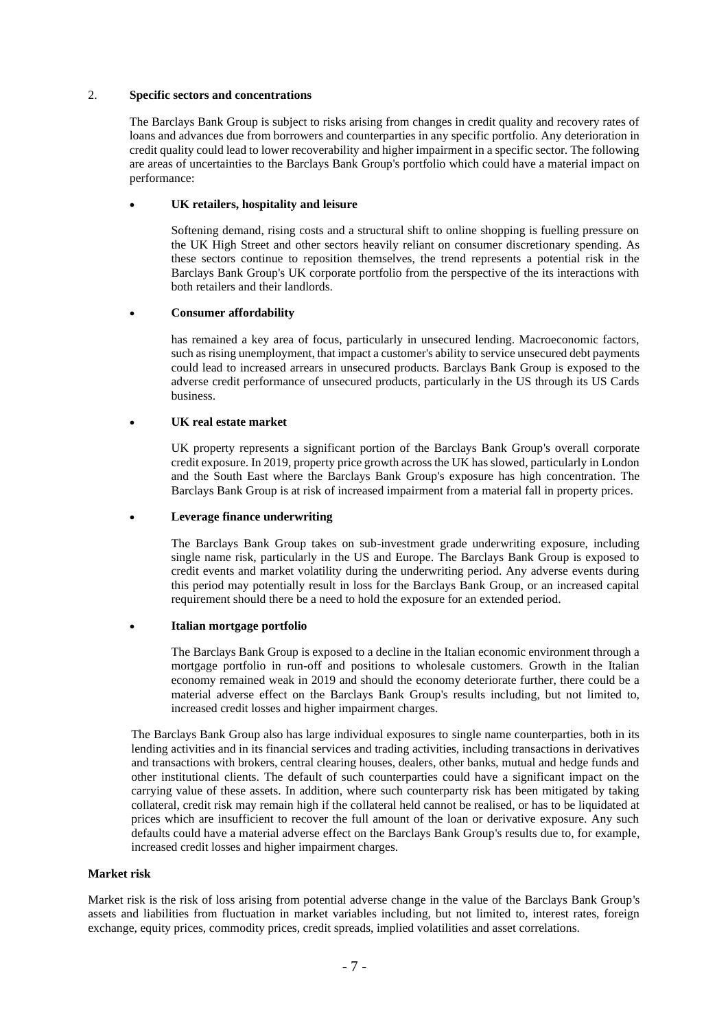### 2. **Specific sectors and concentrations**

The Barclays Bank Group is subject to risks arising from changes in credit quality and recovery rates of loans and advances due from borrowers and counterparties in any specific portfolio. Any deterioration in credit quality could lead to lower recoverability and higher impairment in a specific sector. The following are areas of uncertainties to the Barclays Bank Group's portfolio which could have a material impact on performance:

#### • **UK retailers, hospitality and leisure**

Softening demand, rising costs and a structural shift to online shopping is fuelling pressure on the UK High Street and other sectors heavily reliant on consumer discretionary spending. As these sectors continue to reposition themselves, the trend represents a potential risk in the Barclays Bank Group's UK corporate portfolio from the perspective of the its interactions with both retailers and their landlords.

### • **Consumer affordability**

has remained a key area of focus, particularly in unsecured lending. Macroeconomic factors, such as rising unemployment, that impact a customer's ability to service unsecured debt payments could lead to increased arrears in unsecured products. Barclays Bank Group is exposed to the adverse credit performance of unsecured products, particularly in the US through its US Cards business.

### • **UK real estate market**

UK property represents a significant portion of the Barclays Bank Group's overall corporate credit exposure. In 2019, property price growth across the UK has slowed, particularly in London and the South East where the Barclays Bank Group's exposure has high concentration. The Barclays Bank Group is at risk of increased impairment from a material fall in property prices.

### • **Leverage finance underwriting**

The Barclays Bank Group takes on sub-investment grade underwriting exposure, including single name risk, particularly in the US and Europe. The Barclays Bank Group is exposed to credit events and market volatility during the underwriting period. Any adverse events during this period may potentially result in loss for the Barclays Bank Group, or an increased capital requirement should there be a need to hold the exposure for an extended period.

### • **Italian mortgage portfolio**

The Barclays Bank Group is exposed to a decline in the Italian economic environment through a mortgage portfolio in run-off and positions to wholesale customers. Growth in the Italian economy remained weak in 2019 and should the economy deteriorate further, there could be a material adverse effect on the Barclays Bank Group's results including, but not limited to, increased credit losses and higher impairment charges.

The Barclays Bank Group also has large individual exposures to single name counterparties, both in its lending activities and in its financial services and trading activities, including transactions in derivatives and transactions with brokers, central clearing houses, dealers, other banks, mutual and hedge funds and other institutional clients. The default of such counterparties could have a significant impact on the carrying value of these assets. In addition, where such counterparty risk has been mitigated by taking collateral, credit risk may remain high if the collateral held cannot be realised, or has to be liquidated at prices which are insufficient to recover the full amount of the loan or derivative exposure. Any such defaults could have a material adverse effect on the Barclays Bank Group's results due to, for example, increased credit losses and higher impairment charges.

### **Market risk**

Market risk is the risk of loss arising from potential adverse change in the value of the Barclays Bank Group's assets and liabilities from fluctuation in market variables including, but not limited to, interest rates, foreign exchange, equity prices, commodity prices, credit spreads, implied volatilities and asset correlations.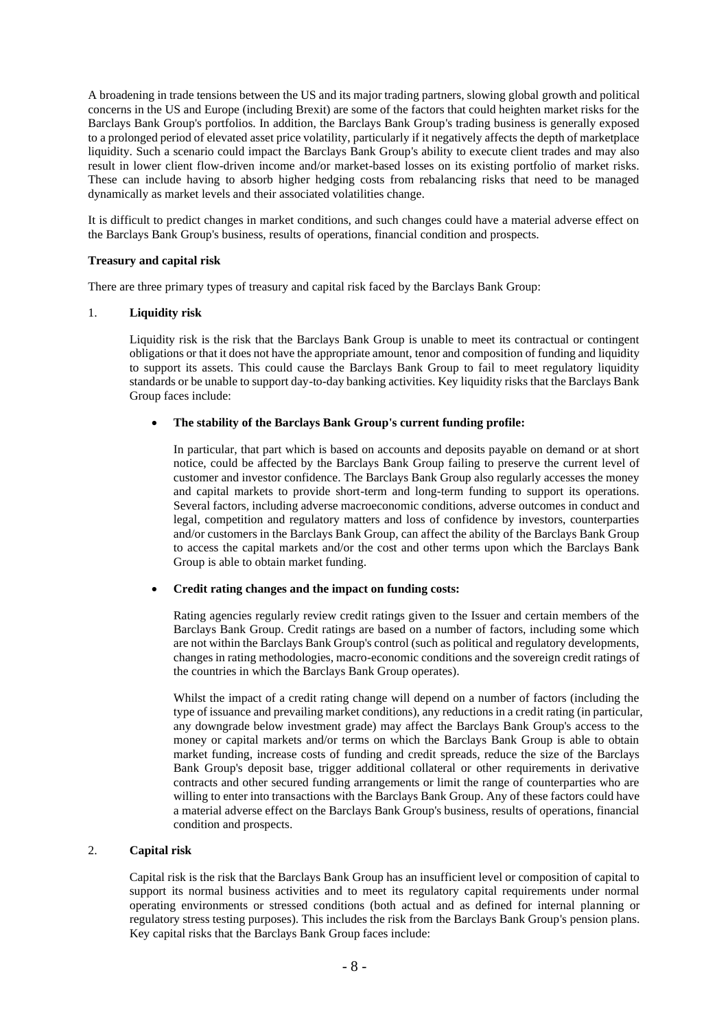A broadening in trade tensions between the US and its major trading partners, slowing global growth and political concerns in the US and Europe (including Brexit) are some of the factors that could heighten market risks for the Barclays Bank Group's portfolios. In addition, the Barclays Bank Group's trading business is generally exposed to a prolonged period of elevated asset price volatility, particularly if it negatively affects the depth of marketplace liquidity. Such a scenario could impact the Barclays Bank Group's ability to execute client trades and may also result in lower client flow-driven income and/or market-based losses on its existing portfolio of market risks. These can include having to absorb higher hedging costs from rebalancing risks that need to be managed dynamically as market levels and their associated volatilities change.

It is difficult to predict changes in market conditions, and such changes could have a material adverse effect on the Barclays Bank Group's business, results of operations, financial condition and prospects.

### **Treasury and capital risk**

There are three primary types of treasury and capital risk faced by the Barclays Bank Group:

# 1. **Liquidity risk**

Liquidity risk is the risk that the Barclays Bank Group is unable to meet its contractual or contingent obligations or that it does not have the appropriate amount, tenor and composition of funding and liquidity to support its assets. This could cause the Barclays Bank Group to fail to meet regulatory liquidity standards or be unable to support day-to-day banking activities. Key liquidity risks that the Barclays Bank Group faces include:

### • **The stability of the Barclays Bank Group's current funding profile:**

In particular, that part which is based on accounts and deposits payable on demand or at short notice, could be affected by the Barclays Bank Group failing to preserve the current level of customer and investor confidence. The Barclays Bank Group also regularly accesses the money and capital markets to provide short-term and long-term funding to support its operations. Several factors, including adverse macroeconomic conditions, adverse outcomes in conduct and legal, competition and regulatory matters and loss of confidence by investors, counterparties and/or customers in the Barclays Bank Group, can affect the ability of the Barclays Bank Group to access the capital markets and/or the cost and other terms upon which the Barclays Bank Group is able to obtain market funding.

### • **Credit rating changes and the impact on funding costs:**

Rating agencies regularly review credit ratings given to the Issuer and certain members of the Barclays Bank Group. Credit ratings are based on a number of factors, including some which are not within the Barclays Bank Group's control (such as political and regulatory developments, changes in rating methodologies, macro-economic conditions and the sovereign credit ratings of the countries in which the Barclays Bank Group operates).

Whilst the impact of a credit rating change will depend on a number of factors (including the type of issuance and prevailing market conditions), any reductions in a credit rating (in particular, any downgrade below investment grade) may affect the Barclays Bank Group's access to the money or capital markets and/or terms on which the Barclays Bank Group is able to obtain market funding, increase costs of funding and credit spreads, reduce the size of the Barclays Bank Group's deposit base, trigger additional collateral or other requirements in derivative contracts and other secured funding arrangements or limit the range of counterparties who are willing to enter into transactions with the Barclays Bank Group. Any of these factors could have a material adverse effect on the Barclays Bank Group's business, results of operations, financial condition and prospects.

# 2. **Capital risk**

Capital risk is the risk that the Barclays Bank Group has an insufficient level or composition of capital to support its normal business activities and to meet its regulatory capital requirements under normal operating environments or stressed conditions (both actual and as defined for internal planning or regulatory stress testing purposes). This includes the risk from the Barclays Bank Group's pension plans. Key capital risks that the Barclays Bank Group faces include: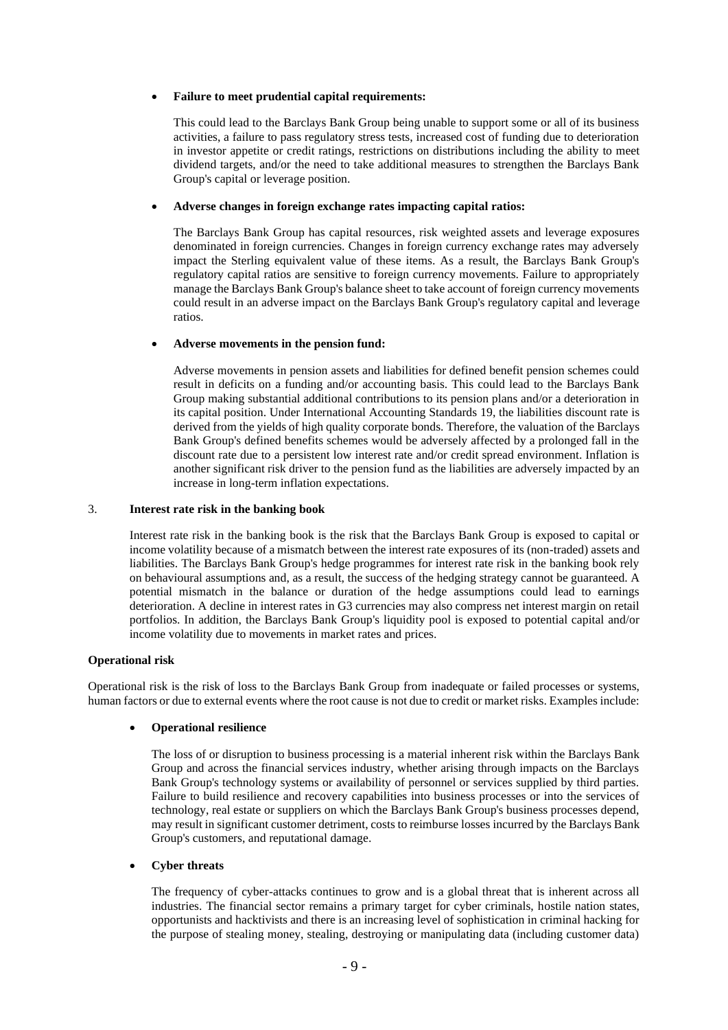### • **Failure to meet prudential capital requirements:**

This could lead to the Barclays Bank Group being unable to support some or all of its business activities, a failure to pass regulatory stress tests, increased cost of funding due to deterioration in investor appetite or credit ratings, restrictions on distributions including the ability to meet dividend targets, and/or the need to take additional measures to strengthen the Barclays Bank Group's capital or leverage position.

#### • **Adverse changes in foreign exchange rates impacting capital ratios:**

The Barclays Bank Group has capital resources, risk weighted assets and leverage exposures denominated in foreign currencies. Changes in foreign currency exchange rates may adversely impact the Sterling equivalent value of these items. As a result, the Barclays Bank Group's regulatory capital ratios are sensitive to foreign currency movements. Failure to appropriately manage the Barclays Bank Group's balance sheet to take account of foreign currency movements could result in an adverse impact on the Barclays Bank Group's regulatory capital and leverage ratios.

#### • **Adverse movements in the pension fund:**

Adverse movements in pension assets and liabilities for defined benefit pension schemes could result in deficits on a funding and/or accounting basis. This could lead to the Barclays Bank Group making substantial additional contributions to its pension plans and/or a deterioration in its capital position. Under International Accounting Standards 19, the liabilities discount rate is derived from the yields of high quality corporate bonds. Therefore, the valuation of the Barclays Bank Group's defined benefits schemes would be adversely affected by a prolonged fall in the discount rate due to a persistent low interest rate and/or credit spread environment. Inflation is another significant risk driver to the pension fund as the liabilities are adversely impacted by an increase in long-term inflation expectations.

#### 3. **Interest rate risk in the banking book**

Interest rate risk in the banking book is the risk that the Barclays Bank Group is exposed to capital or income volatility because of a mismatch between the interest rate exposures of its (non-traded) assets and liabilities. The Barclays Bank Group's hedge programmes for interest rate risk in the banking book rely on behavioural assumptions and, as a result, the success of the hedging strategy cannot be guaranteed. A potential mismatch in the balance or duration of the hedge assumptions could lead to earnings deterioration. A decline in interest rates in G3 currencies may also compress net interest margin on retail portfolios. In addition, the Barclays Bank Group's liquidity pool is exposed to potential capital and/or income volatility due to movements in market rates and prices.

#### **Operational risk**

Operational risk is the risk of loss to the Barclays Bank Group from inadequate or failed processes or systems, human factors or due to external events where the root cause is not due to credit or market risks. Examples include:

### • **Operational resilience**

The loss of or disruption to business processing is a material inherent risk within the Barclays Bank Group and across the financial services industry, whether arising through impacts on the Barclays Bank Group's technology systems or availability of personnel or services supplied by third parties. Failure to build resilience and recovery capabilities into business processes or into the services of technology, real estate or suppliers on which the Barclays Bank Group's business processes depend, may result in significant customer detriment, costs to reimburse losses incurred by the Barclays Bank Group's customers, and reputational damage.

### • **Cyber threats**

The frequency of cyber-attacks continues to grow and is a global threat that is inherent across all industries. The financial sector remains a primary target for cyber criminals, hostile nation states, opportunists and hacktivists and there is an increasing level of sophistication in criminal hacking for the purpose of stealing money, stealing, destroying or manipulating data (including customer data)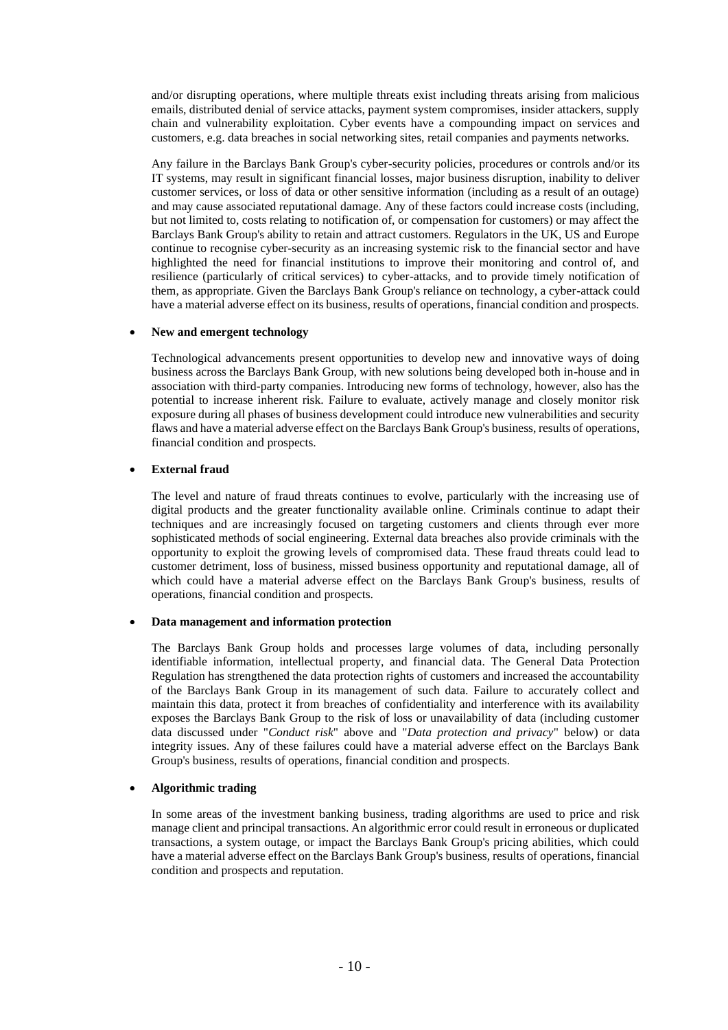and/or disrupting operations, where multiple threats exist including threats arising from malicious emails, distributed denial of service attacks, payment system compromises, insider attackers, supply chain and vulnerability exploitation. Cyber events have a compounding impact on services and customers, e.g. data breaches in social networking sites, retail companies and payments networks.

Any failure in the Barclays Bank Group's cyber-security policies, procedures or controls and/or its IT systems, may result in significant financial losses, major business disruption, inability to deliver customer services, or loss of data or other sensitive information (including as a result of an outage) and may cause associated reputational damage. Any of these factors could increase costs (including, but not limited to, costs relating to notification of, or compensation for customers) or may affect the Barclays Bank Group's ability to retain and attract customers. Regulators in the UK, US and Europe continue to recognise cyber-security as an increasing systemic risk to the financial sector and have highlighted the need for financial institutions to improve their monitoring and control of, and resilience (particularly of critical services) to cyber-attacks, and to provide timely notification of them, as appropriate. Given the Barclays Bank Group's reliance on technology, a cyber-attack could have a material adverse effect on its business, results of operations, financial condition and prospects.

### • **New and emergent technology**

Technological advancements present opportunities to develop new and innovative ways of doing business across the Barclays Bank Group, with new solutions being developed both in-house and in association with third-party companies. Introducing new forms of technology, however, also has the potential to increase inherent risk. Failure to evaluate, actively manage and closely monitor risk exposure during all phases of business development could introduce new vulnerabilities and security flaws and have a material adverse effect on the Barclays Bank Group's business, results of operations, financial condition and prospects.

### • **External fraud**

The level and nature of fraud threats continues to evolve, particularly with the increasing use of digital products and the greater functionality available online. Criminals continue to adapt their techniques and are increasingly focused on targeting customers and clients through ever more sophisticated methods of social engineering. External data breaches also provide criminals with the opportunity to exploit the growing levels of compromised data. These fraud threats could lead to customer detriment, loss of business, missed business opportunity and reputational damage, all of which could have a material adverse effect on the Barclays Bank Group's business, results of operations, financial condition and prospects.

### • **Data management and information protection**

The Barclays Bank Group holds and processes large volumes of data, including personally identifiable information, intellectual property, and financial data. The General Data Protection Regulation has strengthened the data protection rights of customers and increased the accountability of the Barclays Bank Group in its management of such data. Failure to accurately collect and maintain this data, protect it from breaches of confidentiality and interference with its availability exposes the Barclays Bank Group to the risk of loss or unavailability of data (including customer data discussed under "*Conduct risk*" above and "*Data protection and privacy*" below) or data integrity issues. Any of these failures could have a material adverse effect on the Barclays Bank Group's business, results of operations, financial condition and prospects.

### • **Algorithmic trading**

In some areas of the investment banking business, trading algorithms are used to price and risk manage client and principal transactions. An algorithmic error could result in erroneous or duplicated transactions, a system outage, or impact the Barclays Bank Group's pricing abilities, which could have a material adverse effect on the Barclays Bank Group's business, results of operations, financial condition and prospects and reputation.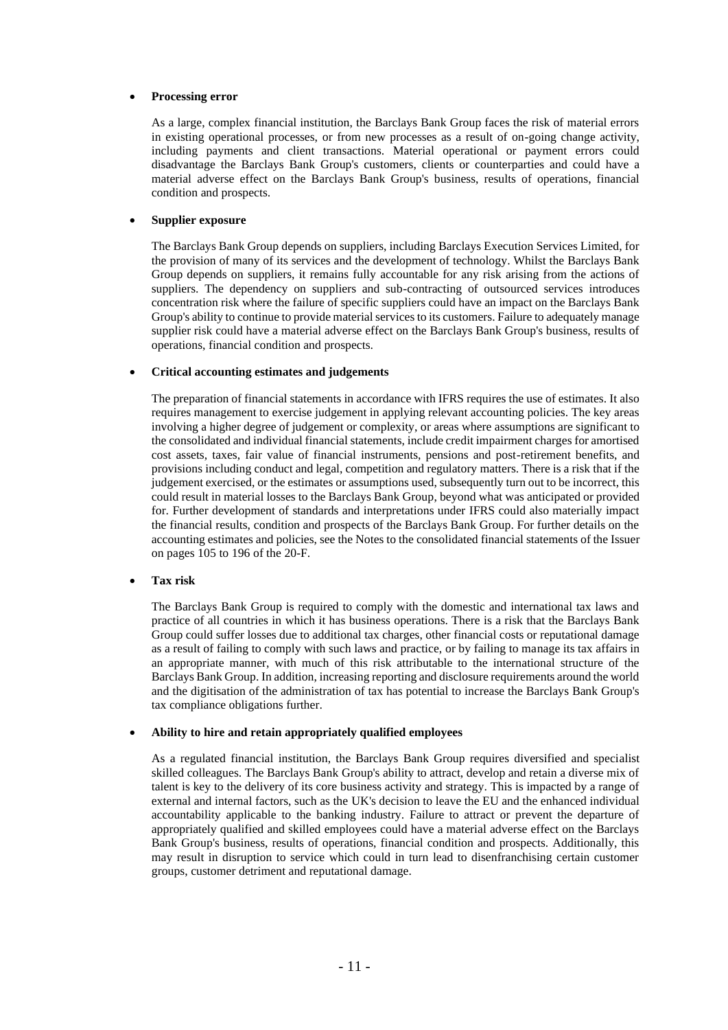### • **Processing error**

As a large, complex financial institution, the Barclays Bank Group faces the risk of material errors in existing operational processes, or from new processes as a result of on-going change activity, including payments and client transactions. Material operational or payment errors could disadvantage the Barclays Bank Group's customers, clients or counterparties and could have a material adverse effect on the Barclays Bank Group's business, results of operations, financial condition and prospects.

### • **Supplier exposure**

The Barclays Bank Group depends on suppliers, including Barclays Execution Services Limited, for the provision of many of its services and the development of technology. Whilst the Barclays Bank Group depends on suppliers, it remains fully accountable for any risk arising from the actions of suppliers. The dependency on suppliers and sub-contracting of outsourced services introduces concentration risk where the failure of specific suppliers could have an impact on the Barclays Bank Group's ability to continue to provide material services to its customers. Failure to adequately manage supplier risk could have a material adverse effect on the Barclays Bank Group's business, results of operations, financial condition and prospects.

#### • **Critical accounting estimates and judgements**

The preparation of financial statements in accordance with IFRS requires the use of estimates. It also requires management to exercise judgement in applying relevant accounting policies. The key areas involving a higher degree of judgement or complexity, or areas where assumptions are significant to the consolidated and individual financial statements, include credit impairment charges for amortised cost assets, taxes, fair value of financial instruments, pensions and post-retirement benefits, and provisions including conduct and legal, competition and regulatory matters. There is a risk that if the judgement exercised, or the estimates or assumptions used, subsequently turn out to be incorrect, this could result in material losses to the Barclays Bank Group, beyond what was anticipated or provided for. Further development of standards and interpretations under IFRS could also materially impact the financial results, condition and prospects of the Barclays Bank Group. For further details on the accounting estimates and policies, see the Notes to the consolidated financial statements of the Issuer on pages 105 to 196 of the 20-F.

#### • **Tax risk**

The Barclays Bank Group is required to comply with the domestic and international tax laws and practice of all countries in which it has business operations. There is a risk that the Barclays Bank Group could suffer losses due to additional tax charges, other financial costs or reputational damage as a result of failing to comply with such laws and practice, or by failing to manage its tax affairs in an appropriate manner, with much of this risk attributable to the international structure of the Barclays Bank Group. In addition, increasing reporting and disclosure requirements around the world and the digitisation of the administration of tax has potential to increase the Barclays Bank Group's tax compliance obligations further.

#### • **Ability to hire and retain appropriately qualified employees**

As a regulated financial institution, the Barclays Bank Group requires diversified and specialist skilled colleagues. The Barclays Bank Group's ability to attract, develop and retain a diverse mix of talent is key to the delivery of its core business activity and strategy. This is impacted by a range of external and internal factors, such as the UK's decision to leave the EU and the enhanced individual accountability applicable to the banking industry. Failure to attract or prevent the departure of appropriately qualified and skilled employees could have a material adverse effect on the Barclays Bank Group's business, results of operations, financial condition and prospects. Additionally, this may result in disruption to service which could in turn lead to disenfranchising certain customer groups, customer detriment and reputational damage.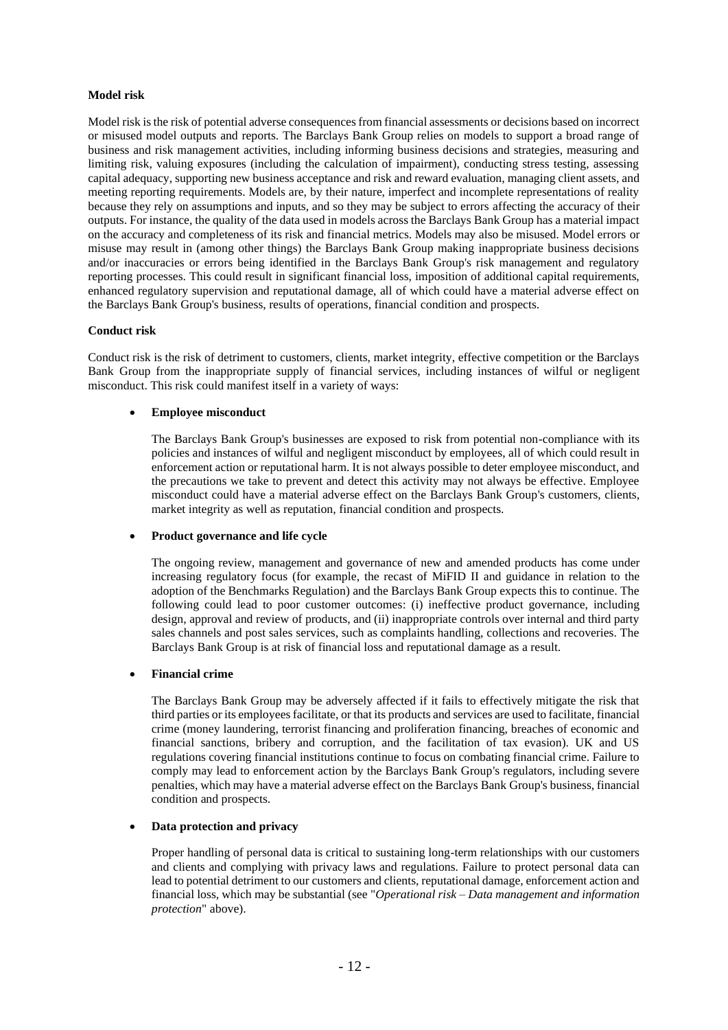# **Model risk**

Model risk is the risk of potential adverse consequences from financial assessments or decisions based on incorrect or misused model outputs and reports. The Barclays Bank Group relies on models to support a broad range of business and risk management activities, including informing business decisions and strategies, measuring and limiting risk, valuing exposures (including the calculation of impairment), conducting stress testing, assessing capital adequacy, supporting new business acceptance and risk and reward evaluation, managing client assets, and meeting reporting requirements. Models are, by their nature, imperfect and incomplete representations of reality because they rely on assumptions and inputs, and so they may be subject to errors affecting the accuracy of their outputs. For instance, the quality of the data used in models across the Barclays Bank Group has a material impact on the accuracy and completeness of its risk and financial metrics. Models may also be misused. Model errors or misuse may result in (among other things) the Barclays Bank Group making inappropriate business decisions and/or inaccuracies or errors being identified in the Barclays Bank Group's risk management and regulatory reporting processes. This could result in significant financial loss, imposition of additional capital requirements, enhanced regulatory supervision and reputational damage, all of which could have a material adverse effect on the Barclays Bank Group's business, results of operations, financial condition and prospects.

### **Conduct risk**

Conduct risk is the risk of detriment to customers, clients, market integrity, effective competition or the Barclays Bank Group from the inappropriate supply of financial services, including instances of wilful or negligent misconduct. This risk could manifest itself in a variety of ways:

### • **Employee misconduct**

The Barclays Bank Group's businesses are exposed to risk from potential non-compliance with its policies and instances of wilful and negligent misconduct by employees, all of which could result in enforcement action or reputational harm. It is not always possible to deter employee misconduct, and the precautions we take to prevent and detect this activity may not always be effective. Employee misconduct could have a material adverse effect on the Barclays Bank Group's customers, clients, market integrity as well as reputation, financial condition and prospects.

# • **Product governance and life cycle**

The ongoing review, management and governance of new and amended products has come under increasing regulatory focus (for example, the recast of MiFID II and guidance in relation to the adoption of the Benchmarks Regulation) and the Barclays Bank Group expects this to continue. The following could lead to poor customer outcomes: (i) ineffective product governance, including design, approval and review of products, and (ii) inappropriate controls over internal and third party sales channels and post sales services, such as complaints handling, collections and recoveries. The Barclays Bank Group is at risk of financial loss and reputational damage as a result.

### • **Financial crime**

The Barclays Bank Group may be adversely affected if it fails to effectively mitigate the risk that third parties or its employees facilitate, or that its products and services are used to facilitate, financial crime (money laundering, terrorist financing and proliferation financing, breaches of economic and financial sanctions, bribery and corruption, and the facilitation of tax evasion). UK and US regulations covering financial institutions continue to focus on combating financial crime. Failure to comply may lead to enforcement action by the Barclays Bank Group's regulators, including severe penalties, which may have a material adverse effect on the Barclays Bank Group's business, financial condition and prospects.

# • **Data protection and privacy**

Proper handling of personal data is critical to sustaining long-term relationships with our customers and clients and complying with privacy laws and regulations. Failure to protect personal data can lead to potential detriment to our customers and clients, reputational damage, enforcement action and financial loss, which may be substantial (see "*Operational risk – Data management and information protection*" above).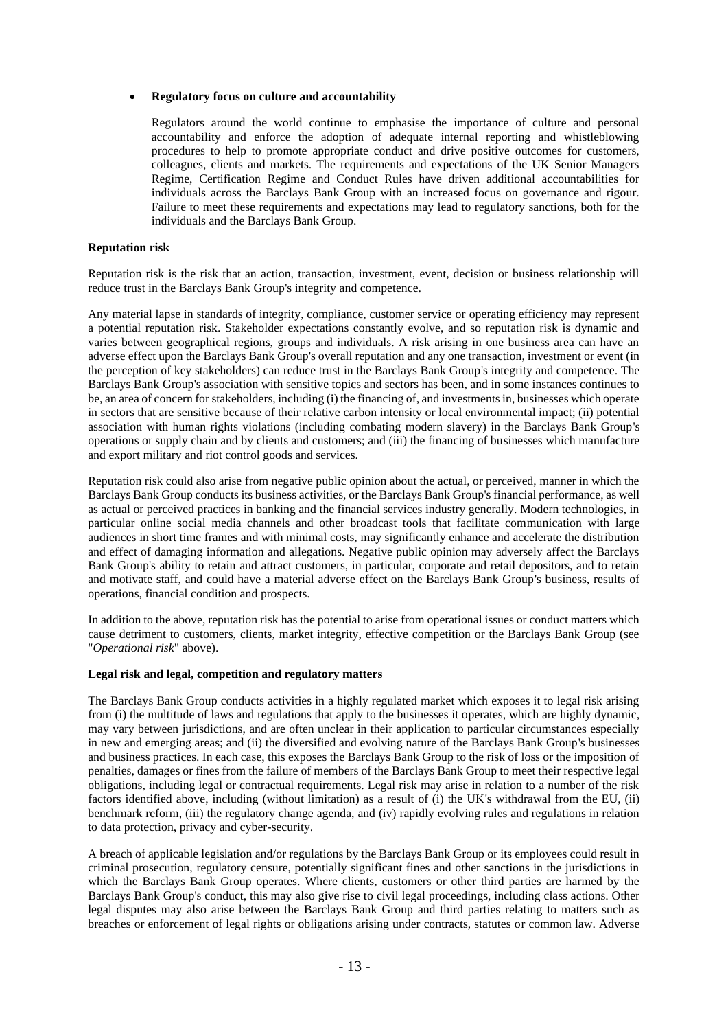#### • **Regulatory focus on culture and accountability**

Regulators around the world continue to emphasise the importance of culture and personal accountability and enforce the adoption of adequate internal reporting and whistleblowing procedures to help to promote appropriate conduct and drive positive outcomes for customers, colleagues, clients and markets. The requirements and expectations of the UK Senior Managers Regime, Certification Regime and Conduct Rules have driven additional accountabilities for individuals across the Barclays Bank Group with an increased focus on governance and rigour. Failure to meet these requirements and expectations may lead to regulatory sanctions, both for the individuals and the Barclays Bank Group.

#### **Reputation risk**

Reputation risk is the risk that an action, transaction, investment, event, decision or business relationship will reduce trust in the Barclays Bank Group's integrity and competence.

Any material lapse in standards of integrity, compliance, customer service or operating efficiency may represent a potential reputation risk. Stakeholder expectations constantly evolve, and so reputation risk is dynamic and varies between geographical regions, groups and individuals. A risk arising in one business area can have an adverse effect upon the Barclays Bank Group's overall reputation and any one transaction, investment or event (in the perception of key stakeholders) can reduce trust in the Barclays Bank Group's integrity and competence. The Barclays Bank Group's association with sensitive topics and sectors has been, and in some instances continues to be, an area of concern for stakeholders, including (i) the financing of, and investments in, businesses which operate in sectors that are sensitive because of their relative carbon intensity or local environmental impact; (ii) potential association with human rights violations (including combating modern slavery) in the Barclays Bank Group's operations or supply chain and by clients and customers; and (iii) the financing of businesses which manufacture and export military and riot control goods and services.

Reputation risk could also arise from negative public opinion about the actual, or perceived, manner in which the Barclays Bank Group conducts its business activities, or the Barclays Bank Group's financial performance, as well as actual or perceived practices in banking and the financial services industry generally. Modern technologies, in particular online social media channels and other broadcast tools that facilitate communication with large audiences in short time frames and with minimal costs, may significantly enhance and accelerate the distribution and effect of damaging information and allegations. Negative public opinion may adversely affect the Barclays Bank Group's ability to retain and attract customers, in particular, corporate and retail depositors, and to retain and motivate staff, and could have a material adverse effect on the Barclays Bank Group's business, results of operations, financial condition and prospects.

In addition to the above, reputation risk has the potential to arise from operational issues or conduct matters which cause detriment to customers, clients, market integrity, effective competition or the Barclays Bank Group (see "*Operational risk*" above).

#### **Legal risk and legal, competition and regulatory matters**

The Barclays Bank Group conducts activities in a highly regulated market which exposes it to legal risk arising from (i) the multitude of laws and regulations that apply to the businesses it operates, which are highly dynamic, may vary between jurisdictions, and are often unclear in their application to particular circumstances especially in new and emerging areas; and (ii) the diversified and evolving nature of the Barclays Bank Group's businesses and business practices. In each case, this exposes the Barclays Bank Group to the risk of loss or the imposition of penalties, damages or fines from the failure of members of the Barclays Bank Group to meet their respective legal obligations, including legal or contractual requirements. Legal risk may arise in relation to a number of the risk factors identified above, including (without limitation) as a result of (i) the UK's withdrawal from the EU, (ii) benchmark reform, (iii) the regulatory change agenda, and (iv) rapidly evolving rules and regulations in relation to data protection, privacy and cyber-security.

A breach of applicable legislation and/or regulations by the Barclays Bank Group or its employees could result in criminal prosecution, regulatory censure, potentially significant fines and other sanctions in the jurisdictions in which the Barclays Bank Group operates. Where clients, customers or other third parties are harmed by the Barclays Bank Group's conduct, this may also give rise to civil legal proceedings, including class actions. Other legal disputes may also arise between the Barclays Bank Group and third parties relating to matters such as breaches or enforcement of legal rights or obligations arising under contracts, statutes or common law. Adverse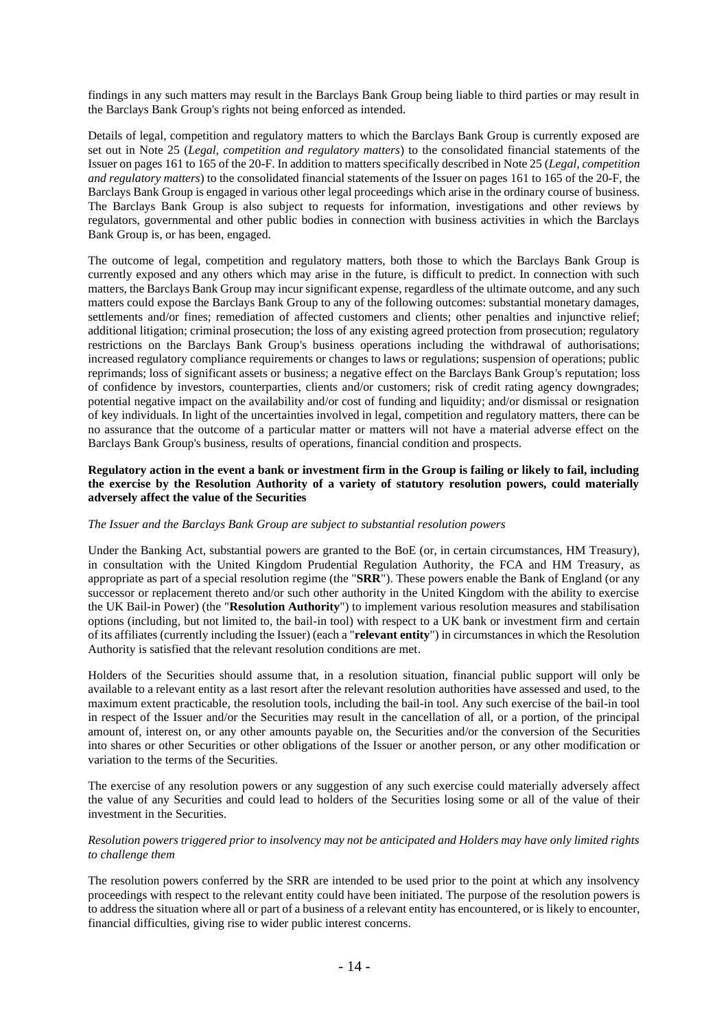findings in any such matters may result in the Barclays Bank Group being liable to third parties or may result in the Barclays Bank Group's rights not being enforced as intended.

Details of legal, competition and regulatory matters to which the Barclays Bank Group is currently exposed are set out in Note 25 (*Legal, competition and regulatory matters*) to the consolidated financial statements of the Issuer on pages 161 to 165 of the 20-F. In addition to matters specifically described in Note 25 (*Legal, competition and regulatory matters*) to the consolidated financial statements of the Issuer on pages 161 to 165 of the 20-F, the Barclays Bank Group is engaged in various other legal proceedings which arise in the ordinary course of business. The Barclays Bank Group is also subject to requests for information, investigations and other reviews by regulators, governmental and other public bodies in connection with business activities in which the Barclays Bank Group is, or has been, engaged.

The outcome of legal, competition and regulatory matters, both those to which the Barclays Bank Group is currently exposed and any others which may arise in the future, is difficult to predict. In connection with such matters, the Barclays Bank Group may incur significant expense, regardless of the ultimate outcome, and any such matters could expose the Barclays Bank Group to any of the following outcomes: substantial monetary damages, settlements and/or fines; remediation of affected customers and clients; other penalties and injunctive relief; additional litigation; criminal prosecution; the loss of any existing agreed protection from prosecution; regulatory restrictions on the Barclays Bank Group's business operations including the withdrawal of authorisations; increased regulatory compliance requirements or changes to laws or regulations; suspension of operations; public reprimands; loss of significant assets or business; a negative effect on the Barclays Bank Group's reputation; loss of confidence by investors, counterparties, clients and/or customers; risk of credit rating agency downgrades; potential negative impact on the availability and/or cost of funding and liquidity; and/or dismissal or resignation of key individuals. In light of the uncertainties involved in legal, competition and regulatory matters, there can be no assurance that the outcome of a particular matter or matters will not have a material adverse effect on the Barclays Bank Group's business, results of operations, financial condition and prospects.

#### **Regulatory action in the event a bank or investment firm in the Group is failing or likely to fail, including the exercise by the Resolution Authority of a variety of statutory resolution powers, could materially adversely affect the value of the Securities**

#### *The Issuer and the Barclays Bank Group are subject to substantial resolution powers*

Under the Banking Act, substantial powers are granted to the BoE (or, in certain circumstances, HM Treasury), in consultation with the United Kingdom Prudential Regulation Authority, the FCA and HM Treasury, as appropriate as part of a special resolution regime (the "**SRR**"). These powers enable the Bank of England (or any successor or replacement thereto and/or such other authority in the United Kingdom with the ability to exercise the UK Bail-in Power) (the "**Resolution Authority**") to implement various resolution measures and stabilisation options (including, but not limited to, the bail-in tool) with respect to a UK bank or investment firm and certain of its affiliates (currently including the Issuer) (each a "**relevant entity**") in circumstances in which the Resolution Authority is satisfied that the relevant resolution conditions are met.

Holders of the Securities should assume that, in a resolution situation, financial public support will only be available to a relevant entity as a last resort after the relevant resolution authorities have assessed and used, to the maximum extent practicable, the resolution tools, including the bail-in tool. Any such exercise of the bail-in tool in respect of the Issuer and/or the Securities may result in the cancellation of all, or a portion, of the principal amount of, interest on, or any other amounts payable on, the Securities and/or the conversion of the Securities into shares or other Securities or other obligations of the Issuer or another person, or any other modification or variation to the terms of the Securities.

The exercise of any resolution powers or any suggestion of any such exercise could materially adversely affect the value of any Securities and could lead to holders of the Securities losing some or all of the value of their investment in the Securities.

#### *Resolution powers triggered prior to insolvency may not be anticipated and Holders may have only limited rights to challenge them*

The resolution powers conferred by the SRR are intended to be used prior to the point at which any insolvency proceedings with respect to the relevant entity could have been initiated. The purpose of the resolution powers is to address the situation where all or part of a business of a relevant entity has encountered, or is likely to encounter, financial difficulties, giving rise to wider public interest concerns.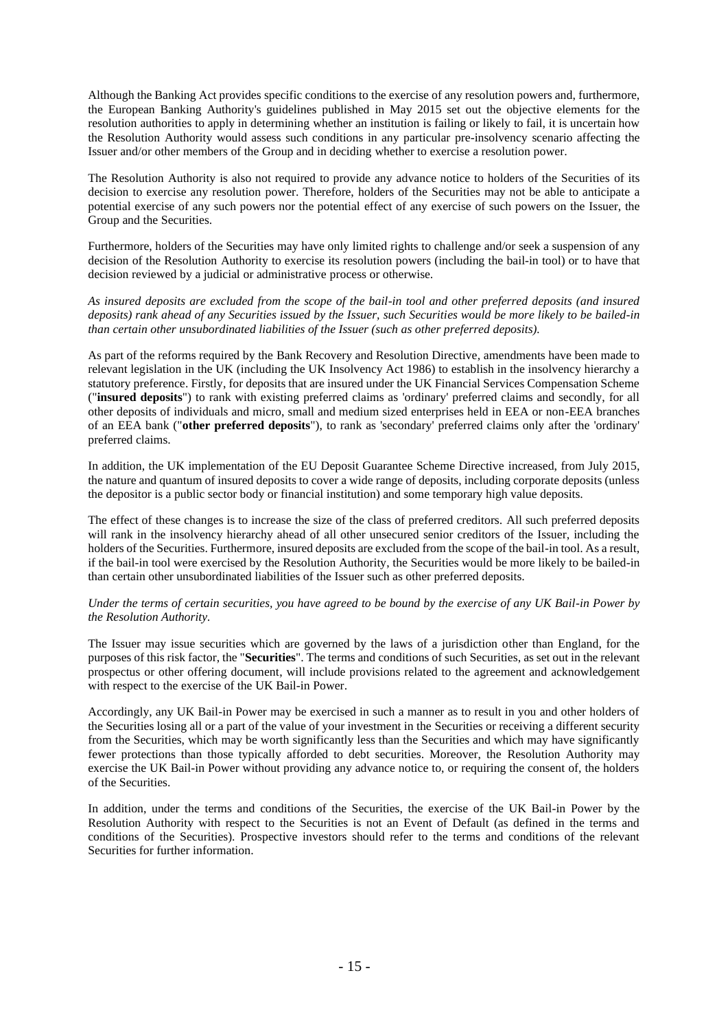Although the Banking Act provides specific conditions to the exercise of any resolution powers and, furthermore, the European Banking Authority's guidelines published in May 2015 set out the objective elements for the resolution authorities to apply in determining whether an institution is failing or likely to fail, it is uncertain how the Resolution Authority would assess such conditions in any particular pre-insolvency scenario affecting the Issuer and/or other members of the Group and in deciding whether to exercise a resolution power.

The Resolution Authority is also not required to provide any advance notice to holders of the Securities of its decision to exercise any resolution power. Therefore, holders of the Securities may not be able to anticipate a potential exercise of any such powers nor the potential effect of any exercise of such powers on the Issuer, the Group and the Securities.

Furthermore, holders of the Securities may have only limited rights to challenge and/or seek a suspension of any decision of the Resolution Authority to exercise its resolution powers (including the bail-in tool) or to have that decision reviewed by a judicial or administrative process or otherwise.

*As insured deposits are excluded from the scope of the bail-in tool and other preferred deposits (and insured deposits) rank ahead of any Securities issued by the Issuer, such Securities would be more likely to be bailed-in than certain other unsubordinated liabilities of the Issuer (such as other preferred deposits).*

As part of the reforms required by the Bank Recovery and Resolution Directive, amendments have been made to relevant legislation in the UK (including the UK Insolvency Act 1986) to establish in the insolvency hierarchy a statutory preference. Firstly, for deposits that are insured under the UK Financial Services Compensation Scheme ("**insured deposits**") to rank with existing preferred claims as 'ordinary' preferred claims and secondly, for all other deposits of individuals and micro, small and medium sized enterprises held in EEA or non-EEA branches of an EEA bank ("**other preferred deposits**"), to rank as 'secondary' preferred claims only after the 'ordinary' preferred claims.

In addition, the UK implementation of the EU Deposit Guarantee Scheme Directive increased, from July 2015, the nature and quantum of insured deposits to cover a wide range of deposits, including corporate deposits (unless the depositor is a public sector body or financial institution) and some temporary high value deposits.

The effect of these changes is to increase the size of the class of preferred creditors. All such preferred deposits will rank in the insolvency hierarchy ahead of all other unsecured senior creditors of the Issuer, including the holders of the Securities. Furthermore, insured deposits are excluded from the scope of the bail-in tool. As a result, if the bail-in tool were exercised by the Resolution Authority, the Securities would be more likely to be bailed-in than certain other unsubordinated liabilities of the Issuer such as other preferred deposits.

### *Under the terms of certain securities, you have agreed to be bound by the exercise of any UK Bail-in Power by the Resolution Authority.*

The Issuer may issue securities which are governed by the laws of a jurisdiction other than England, for the purposes of this risk factor, the "**Securities**". The terms and conditions of such Securities, as set out in the relevant prospectus or other offering document, will include provisions related to the agreement and acknowledgement with respect to the exercise of the UK Bail-in Power.

Accordingly, any UK Bail-in Power may be exercised in such a manner as to result in you and other holders of the Securities losing all or a part of the value of your investment in the Securities or receiving a different security from the Securities, which may be worth significantly less than the Securities and which may have significantly fewer protections than those typically afforded to debt securities. Moreover, the Resolution Authority may exercise the UK Bail-in Power without providing any advance notice to, or requiring the consent of, the holders of the Securities.

In addition, under the terms and conditions of the Securities, the exercise of the UK Bail-in Power by the Resolution Authority with respect to the Securities is not an Event of Default (as defined in the terms and conditions of the Securities). Prospective investors should refer to the terms and conditions of the relevant Securities for further information.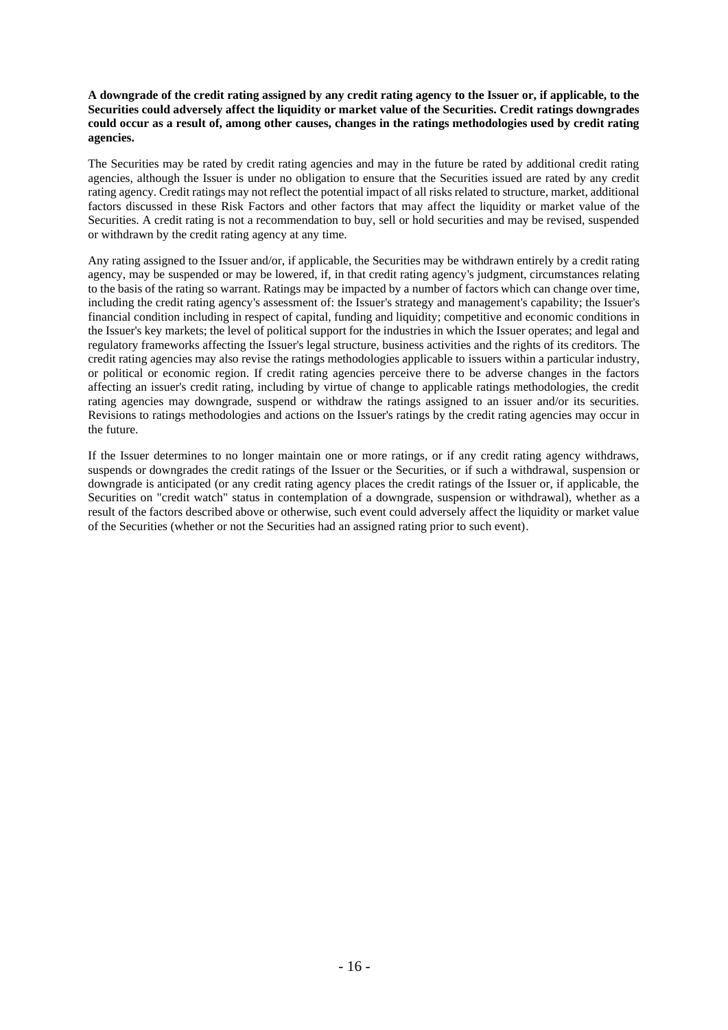### **A downgrade of the credit rating assigned by any credit rating agency to the Issuer or, if applicable, to the Securities could adversely affect the liquidity or market value of the Securities. Credit ratings downgrades could occur as a result of, among other causes, changes in the ratings methodologies used by credit rating agencies.**

The Securities may be rated by credit rating agencies and may in the future be rated by additional credit rating agencies, although the Issuer is under no obligation to ensure that the Securities issued are rated by any credit rating agency. Credit ratings may not reflect the potential impact of all risks related to structure, market, additional factors discussed in these Risk Factors and other factors that may affect the liquidity or market value of the Securities. A credit rating is not a recommendation to buy, sell or hold securities and may be revised, suspended or withdrawn by the credit rating agency at any time.

Any rating assigned to the Issuer and/or, if applicable, the Securities may be withdrawn entirely by a credit rating agency, may be suspended or may be lowered, if, in that credit rating agency's judgment, circumstances relating to the basis of the rating so warrant. Ratings may be impacted by a number of factors which can change over time, including the credit rating agency's assessment of: the Issuer's strategy and management's capability; the Issuer's financial condition including in respect of capital, funding and liquidity; competitive and economic conditions in the Issuer's key markets; the level of political support for the industries in which the Issuer operates; and legal and regulatory frameworks affecting the Issuer's legal structure, business activities and the rights of its creditors. The credit rating agencies may also revise the ratings methodologies applicable to issuers within a particular industry, or political or economic region. If credit rating agencies perceive there to be adverse changes in the factors affecting an issuer's credit rating, including by virtue of change to applicable ratings methodologies, the credit rating agencies may downgrade, suspend or withdraw the ratings assigned to an issuer and/or its securities. Revisions to ratings methodologies and actions on the Issuer's ratings by the credit rating agencies may occur in the future.

If the Issuer determines to no longer maintain one or more ratings, or if any credit rating agency withdraws, suspends or downgrades the credit ratings of the Issuer or the Securities, or if such a withdrawal, suspension or downgrade is anticipated (or any credit rating agency places the credit ratings of the Issuer or, if applicable, the Securities on "credit watch" status in contemplation of a downgrade, suspension or withdrawal), whether as a result of the factors described above or otherwise, such event could adversely affect the liquidity or market value of the Securities (whether or not the Securities had an assigned rating prior to such event).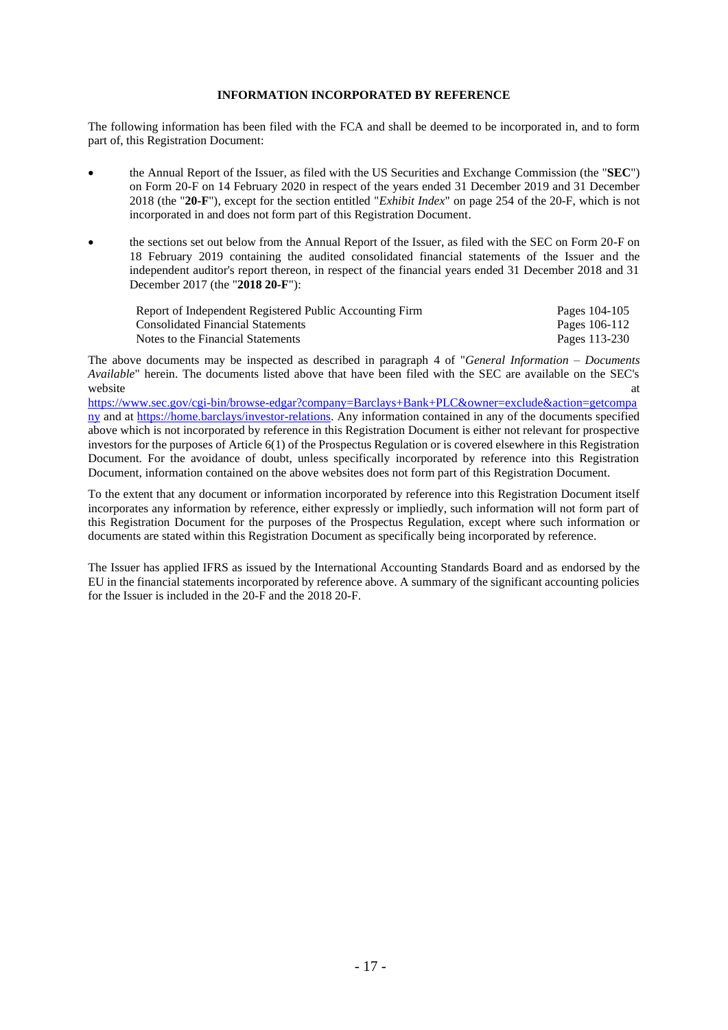# **INFORMATION INCORPORATED BY REFERENCE**

The following information has been filed with the FCA and shall be deemed to be incorporated in, and to form part of, this Registration Document:

- the Annual Report of the Issuer, as filed with the US Securities and Exchange Commission (the "**SEC**") on Form 20-F on 14 February 2020 in respect of the years ended 31 December 2019 and 31 December 2018 (the "**20-F**"), except for the section entitled "*Exhibit Index*" on page 254 of the 20-F, which is not incorporated in and does not form part of this Registration Document.
- the sections set out below from the Annual Report of the Issuer, as filed with the SEC on Form 20-F on 18 February 2019 containing the audited consolidated financial statements of the Issuer and the independent auditor's report thereon, in respect of the financial years ended 31 December 2018 and 31 December 2017 (the "**2018 20-F**"):

| Report of Independent Registered Public Accounting Firm | Pages 104-105 |
|---------------------------------------------------------|---------------|
| <b>Consolidated Financial Statements</b>                | Pages 106-112 |
| Notes to the Financial Statements                       | Pages 113-230 |

The above documents may be inspected as described in paragraph [4](#page-26-0) of "*General Information – Documents Available*" herein. The documents listed above that have been filed with the SEC are available on the SEC's website at the state of the state at a state of the state at a state of the state at a state of the state at a

[https://www.sec.gov/cgi-bin/browse-edgar?company=Barclays+Bank+PLC&owner=exclude&action=getcompa](https://www.sec.gov/cgibin/browseedgar?company=Barclays+Bank+PLC&owner=exclude&action=getcompany) [ny](https://www.sec.gov/cgibin/browseedgar?company=Barclays+Bank+PLC&owner=exclude&action=getcompany) and at [https://home.barclays/investor-relations.](https://home.barclays/investor-relations) Any information contained in any of the documents specified above which is not incorporated by reference in this Registration Document is either not relevant for prospective investors for the purposes of Article 6(1) of the Prospectus Regulation or is covered elsewhere in this Registration Document. For the avoidance of doubt, unless specifically incorporated by reference into this Registration Document, information contained on the above websites does not form part of this Registration Document.

To the extent that any document or information incorporated by reference into this Registration Document itself incorporates any information by reference, either expressly or impliedly, such information will not form part of this Registration Document for the purposes of the Prospectus Regulation, except where such information or documents are stated within this Registration Document as specifically being incorporated by reference.

The Issuer has applied IFRS as issued by the International Accounting Standards Board and as endorsed by the EU in the financial statements incorporated by reference above. A summary of the significant accounting policies for the Issuer is included in the 20-F and the 2018 20-F.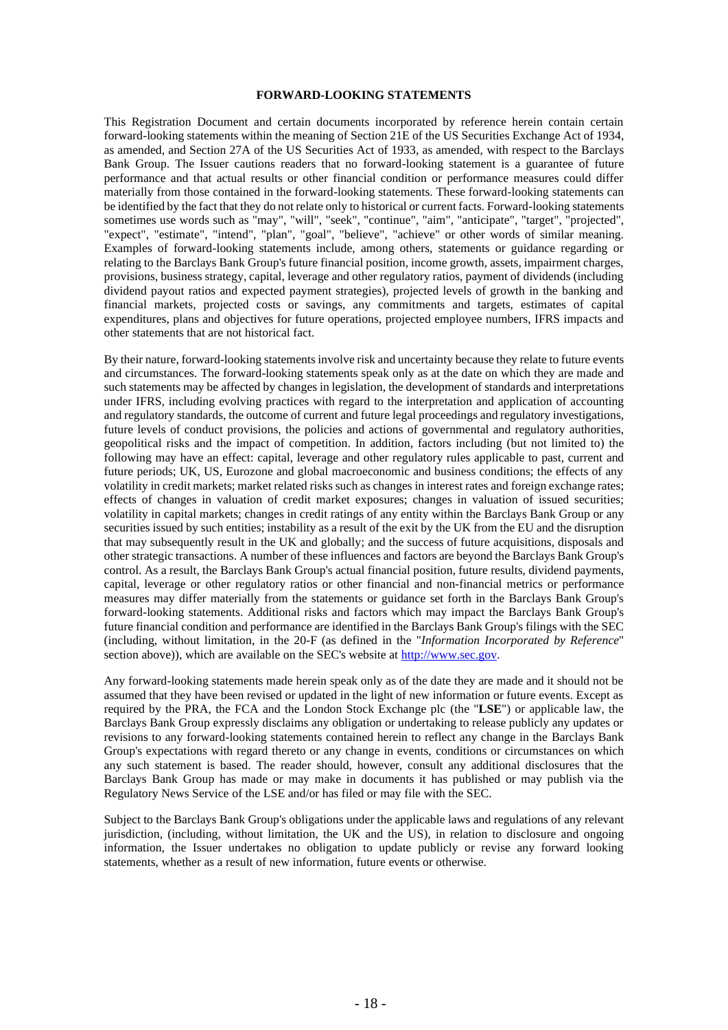#### **FORWARD-LOOKING STATEMENTS**

This Registration Document and certain documents incorporated by reference herein contain certain forward-looking statements within the meaning of Section 21E of the US Securities Exchange Act of 1934, as amended, and Section 27A of the US Securities Act of 1933, as amended, with respect to the Barclays Bank Group. The Issuer cautions readers that no forward-looking statement is a guarantee of future performance and that actual results or other financial condition or performance measures could differ materially from those contained in the forward-looking statements. These forward-looking statements can be identified by the fact that they do not relate only to historical or current facts. Forward-looking statements sometimes use words such as "may", "will", "seek", "continue", "aim", "anticipate", "target", "projected", "expect", "estimate", "intend", "plan", "goal", "believe", "achieve" or other words of similar meaning. Examples of forward-looking statements include, among others, statements or guidance regarding or relating to the Barclays Bank Group's future financial position, income growth, assets, impairment charges, provisions, business strategy, capital, leverage and other regulatory ratios, payment of dividends (including dividend payout ratios and expected payment strategies), projected levels of growth in the banking and financial markets, projected costs or savings, any commitments and targets, estimates of capital expenditures, plans and objectives for future operations, projected employee numbers, IFRS impacts and other statements that are not historical fact.

By their nature, forward-looking statementsinvolve risk and uncertainty because they relate to future events and circumstances. The forward-looking statements speak only as at the date on which they are made and such statements may be affected by changes in legislation, the development of standards and interpretations under IFRS, including evolving practices with regard to the interpretation and application of accounting and regulatory standards, the outcome of current and future legal proceedings and regulatory investigations, future levels of conduct provisions, the policies and actions of governmental and regulatory authorities, geopolitical risks and the impact of competition. In addition, factors including (but not limited to) the following may have an effect: capital, leverage and other regulatory rules applicable to past, current and future periods; UK, US, Eurozone and global macroeconomic and business conditions; the effects of any volatility in credit markets; market related risks such as changes in interest rates and foreign exchange rates; effects of changes in valuation of credit market exposures; changes in valuation of issued securities; volatility in capital markets; changes in credit ratings of any entity within the Barclays Bank Group or any securities issued by such entities; instability as a result of the exit by the UK from the EU and the disruption that may subsequently result in the UK and globally; and the success of future acquisitions, disposals and other strategic transactions. A number of these influences and factors are beyond the Barclays Bank Group's control. As a result, the Barclays Bank Group's actual financial position, future results, dividend payments, capital, leverage or other regulatory ratios or other financial and non-financial metrics or performance measures may differ materially from the statements or guidance set forth in the Barclays Bank Group's forward-looking statements. Additional risks and factors which may impact the Barclays Bank Group's future financial condition and performance are identified in the Barclays Bank Group's filings with the SEC (including, without limitation, in the 20-F (as defined in the "*Information Incorporated by Reference*" section above)), which are available on the SEC's website at [http://www.sec.gov.](http://www.sec.gov/)

Any forward-looking statements made herein speak only as of the date they are made and it should not be assumed that they have been revised or updated in the light of new information or future events. Except as required by the PRA, the FCA and the London Stock Exchange plc (the "**LSE**") or applicable law, the Barclays Bank Group expressly disclaims any obligation or undertaking to release publicly any updates or revisions to any forward-looking statements contained herein to reflect any change in the Barclays Bank Group's expectations with regard thereto or any change in events, conditions or circumstances on which any such statement is based. The reader should, however, consult any additional disclosures that the Barclays Bank Group has made or may make in documents it has published or may publish via the Regulatory News Service of the LSE and/or has filed or may file with the SEC.

Subject to the Barclays Bank Group's obligations under the applicable laws and regulations of any relevant jurisdiction, (including, without limitation, the UK and the US), in relation to disclosure and ongoing information, the Issuer undertakes no obligation to update publicly or revise any forward looking statements, whether as a result of new information, future events or otherwise.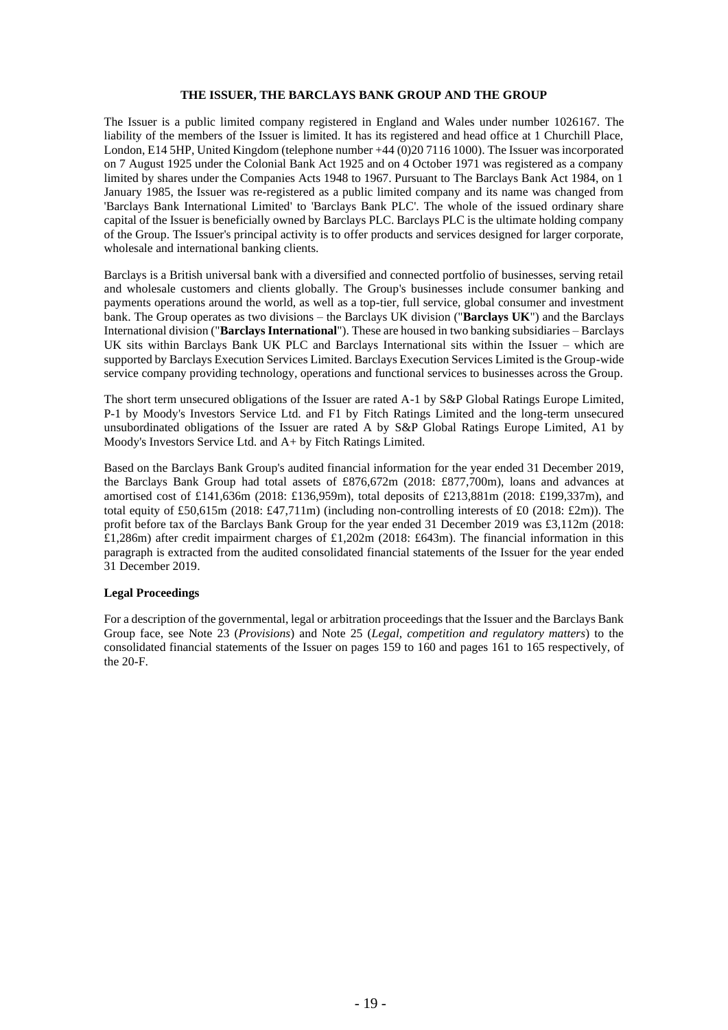#### **THE ISSUER, THE BARCLAYS BANK GROUP AND THE GROUP**

The Issuer is a public limited company registered in England and Wales under number 1026167. The liability of the members of the Issuer is limited. It has its registered and head office at 1 Churchill Place, London, E14 5HP, United Kingdom (telephone number +44 (0)20 7116 1000). The Issuer was incorporated on 7 August 1925 under the Colonial Bank Act 1925 and on 4 October 1971 was registered as a company limited by shares under the Companies Acts 1948 to 1967. Pursuant to The Barclays Bank Act 1984, on 1 January 1985, the Issuer was re-registered as a public limited company and its name was changed from 'Barclays Bank International Limited' to 'Barclays Bank PLC'. The whole of the issued ordinary share capital of the Issuer is beneficially owned by Barclays PLC. Barclays PLC is the ultimate holding company of the Group. The Issuer's principal activity is to offer products and services designed for larger corporate, wholesale and international banking clients.

Barclays is a British universal bank with a diversified and connected portfolio of businesses, serving retail and wholesale customers and clients globally. The Group's businesses include consumer banking and payments operations around the world, as well as a top-tier, full service, global consumer and investment bank. The Group operates as two divisions – the Barclays UK division ("**Barclays UK**") and the Barclays International division ("**Barclays International**"). These are housed in two banking subsidiaries – Barclays UK sits within Barclays Bank UK PLC and Barclays International sits within the Issuer – which are supported by Barclays Execution Services Limited. Barclays Execution Services Limited is the Group-wide service company providing technology, operations and functional services to businesses across the Group.

The short term unsecured obligations of the Issuer are rated A-1 by S&P Global Ratings Europe Limited, P-1 by Moody's Investors Service Ltd. and F1 by Fitch Ratings Limited and the long-term unsecured unsubordinated obligations of the Issuer are rated A by S&P Global Ratings Europe Limited, A1 by Moody's Investors Service Ltd. and A+ by Fitch Ratings Limited.

Based on the Barclays Bank Group's audited financial information for the year ended 31 December 2019, the Barclays Bank Group had total assets of £876,672m (2018: £877,700m), loans and advances at amortised cost of £141,636m (2018: £136,959m), total deposits of £213,881m (2018: £199,337m), and total equity of £50,615m (2018: £47,711m) (including non-controlling interests of £0 (2018: £2m)). The profit before tax of the Barclays Bank Group for the year ended 31 December 2019 was £3,112m (2018: £1,286m) after credit impairment charges of £1,202m (2018: £643m). The financial information in this paragraph is extracted from the audited consolidated financial statements of the Issuer for the year ended 31 December 2019.

#### **Legal Proceedings**

For a description of the governmental, legal or arbitration proceedings that the Issuer and the Barclays Bank Group face, see Note 23 (*Provisions*) and Note 25 (*Legal, competition and regulatory matters*) to the consolidated financial statements of the Issuer on pages 159 to 160 and pages 161 to 165 respectively, of the 20-F.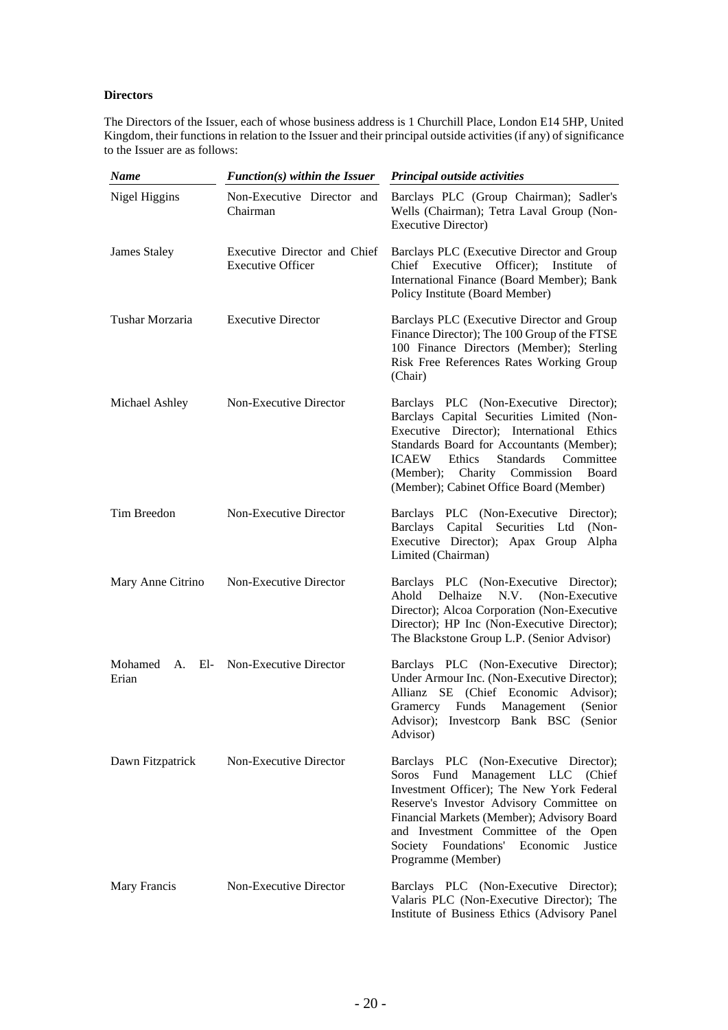# **Directors**

The Directors of the Issuer, each of whose business address is 1 Churchill Place, London E14 5HP, United Kingdom, their functions in relation to the Issuer and their principal outside activities (if any) of significance to the Issuer are as follows:

| <b>Name</b>         | $Function(s)$ within the Issuer                          | <b>Principal outside activities</b>                                                                                                                                                                                                                                                                                            |
|---------------------|----------------------------------------------------------|--------------------------------------------------------------------------------------------------------------------------------------------------------------------------------------------------------------------------------------------------------------------------------------------------------------------------------|
| Nigel Higgins       | Non-Executive Director and<br>Chairman                   | Barclays PLC (Group Chairman); Sadler's<br>Wells (Chairman); Tetra Laval Group (Non-<br><b>Executive Director</b> )                                                                                                                                                                                                            |
| <b>James Staley</b> | Executive Director and Chief<br><b>Executive Officer</b> | Barclays PLC (Executive Director and Group<br>Chief Executive<br>Officer);<br>Institute<br>of<br>International Finance (Board Member); Bank<br>Policy Institute (Board Member)                                                                                                                                                 |
| Tushar Morzaria     | <b>Executive Director</b>                                | Barclays PLC (Executive Director and Group<br>Finance Director); The 100 Group of the FTSE<br>100 Finance Directors (Member); Sterling<br>Risk Free References Rates Working Group<br>(Chair)                                                                                                                                  |
| Michael Ashley      | Non-Executive Director                                   | Barclays PLC (Non-Executive Director);<br>Barclays Capital Securities Limited (Non-<br>Executive Director); International Ethics<br>Standards Board for Accountants (Member);<br><b>Standards</b><br><b>ICAEW</b><br>Ethics<br>Committee<br>(Member); Charity Commission<br>Board<br>(Member); Cabinet Office Board (Member)   |
| Tim Breedon         | Non-Executive Director                                   | Barclays PLC (Non-Executive Director);<br>Barclays Capital Securities Ltd<br>$(Non-$<br>Executive Director); Apax Group<br>Alpha<br>Limited (Chairman)                                                                                                                                                                         |
| Mary Anne Citrino   | Non-Executive Director                                   | Barclays PLC (Non-Executive Director);<br>Ahold<br>Delhaize<br>N.V.<br>(Non-Executive<br>Director); Alcoa Corporation (Non-Executive<br>Director); HP Inc (Non-Executive Director);<br>The Blackstone Group L.P. (Senior Advisor)                                                                                              |
| Mohamed<br>Erian    | A. El- Non-Executive Director                            | Barclays PLC (Non-Executive Director);<br>Under Armour Inc. (Non-Executive Director);<br>SE (Chief Economic<br>Allianz<br>Advisor);<br>Funds<br>Management<br>(Senior<br>Gramercy<br>Advisor); Investcorp Bank BSC (Senior<br>Advisor)                                                                                         |
| Dawn Fitzpatrick    | Non-Executive Director                                   | Barclays PLC (Non-Executive Director);<br>Soros Fund Management LLC (Chief<br>Investment Officer); The New York Federal<br>Reserve's Investor Advisory Committee on<br>Financial Markets (Member); Advisory Board<br>and Investment Committee of the Open<br>Society Foundations'<br>Justice<br>Economic<br>Programme (Member) |
| Mary Francis        | Non-Executive Director                                   | Barclays PLC (Non-Executive Director);<br>Valaris PLC (Non-Executive Director); The<br>Institute of Business Ethics (Advisory Panel                                                                                                                                                                                            |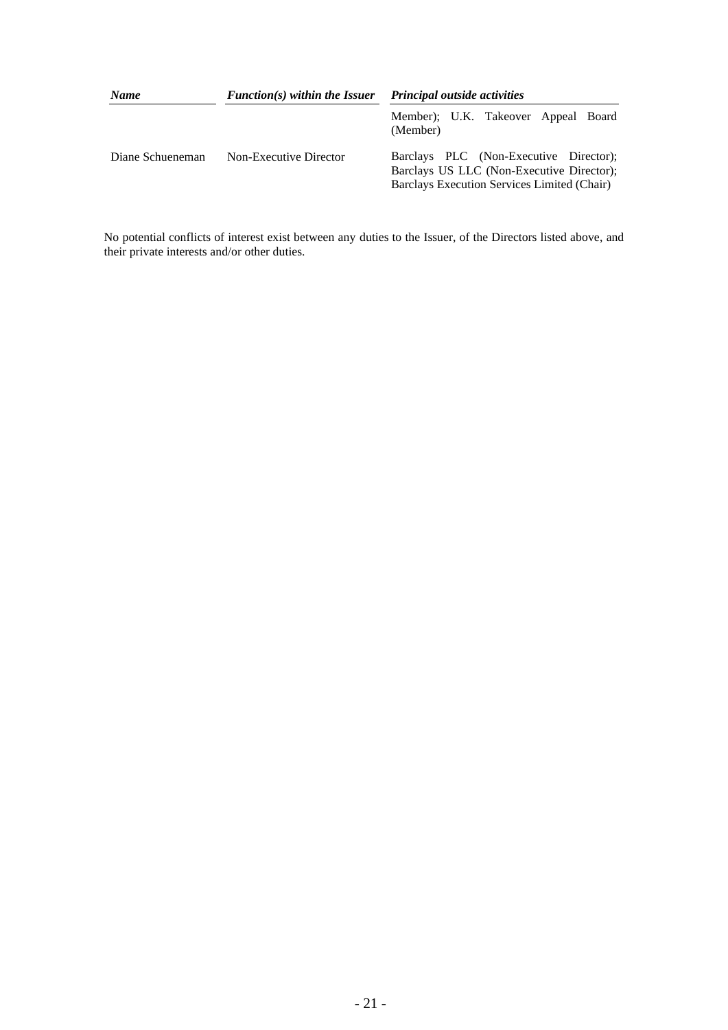| <b>Name</b>      | $Function(s)$ within the Issuer | <b>Principal outside activities</b>                                                                                                |  |  |
|------------------|---------------------------------|------------------------------------------------------------------------------------------------------------------------------------|--|--|
|                  |                                 | Member); U.K. Takeover Appeal Board<br>(Member)                                                                                    |  |  |
| Diane Schueneman | Non-Executive Director          | Barclays PLC (Non-Executive Director);<br>Barclays US LLC (Non-Executive Director);<br>Barclays Execution Services Limited (Chair) |  |  |

No potential conflicts of interest exist between any duties to the Issuer, of the Directors listed above, and their private interests and/or other duties.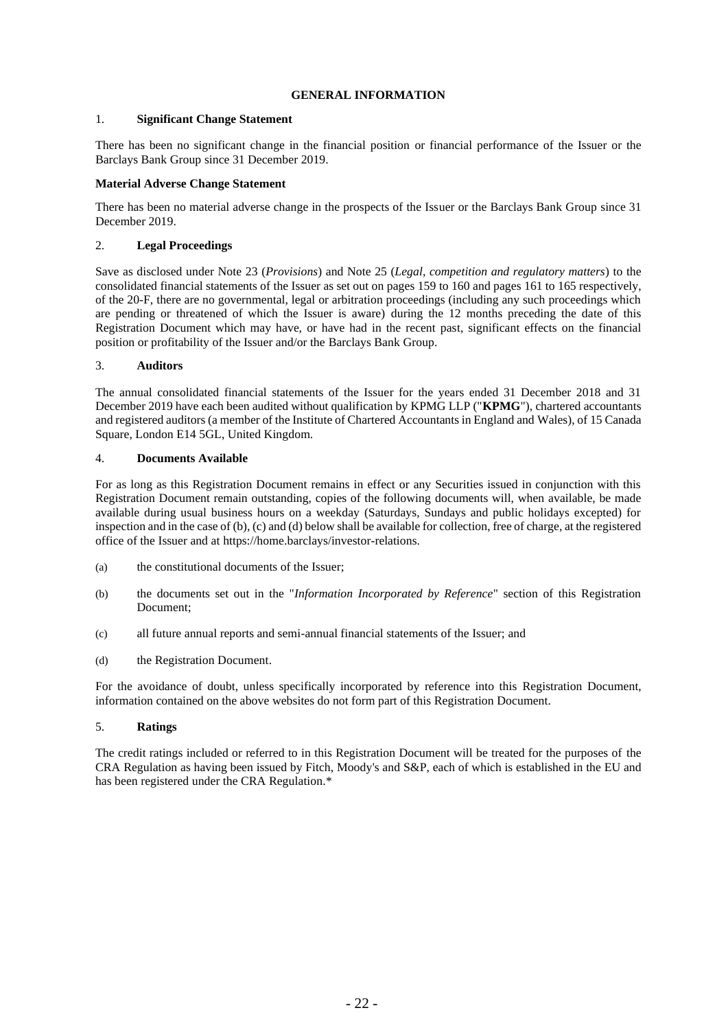# **GENERAL INFORMATION**

# 1. **Significant Change Statement**

There has been no significant change in the financial position or financial performance of the Issuer or the Barclays Bank Group since 31 December 2019.

### **Material Adverse Change Statement**

There has been no material adverse change in the prospects of the Issuer or the Barclays Bank Group since 31 December 2019.

# 2. **Legal Proceedings**

Save as disclosed under Note 23 (*Provisions*) and Note 25 (*Legal, competition and regulatory matters*) to the consolidated financial statements of the Issuer as set out on pages 159 to 160 and pages 161 to 165 respectively, of the 20-F, there are no governmental, legal or arbitration proceedings (including any such proceedings which are pending or threatened of which the Issuer is aware) during the 12 months preceding the date of this Registration Document which may have, or have had in the recent past, significant effects on the financial position or profitability of the Issuer and/or the Barclays Bank Group.

# 3. **Auditors**

The annual consolidated financial statements of the Issuer for the years ended 31 December 2018 and 31 December 2019 have each been audited without qualification by KPMG LLP ("**KPMG**"), chartered accountants and registered auditors (a member of the Institute of Chartered Accountants in England and Wales), of 15 Canada Square, London E14 5GL, United Kingdom.

### <span id="page-26-0"></span>4. **Documents Available**

For as long as this Registration Document remains in effect or any Securities issued in conjunction with this Registration Document remain outstanding, copies of the following documents will, when available, be made available during usual business hours on a weekday (Saturdays, Sundays and public holidays excepted) for inspection and in the case o[f \(b\),](#page-26-1) [\(c\)](#page-26-2) and [\(d\)](#page-26-3) below shall be available for collection, free of charge, at the registered office of the Issuer and at https://home.barclays/investor-relations.

- (a) the constitutional documents of the Issuer;
- <span id="page-26-1"></span>(b) the documents set out in the "*Information Incorporated by Reference*" section of this Registration Document;
- <span id="page-26-2"></span>(c) all future annual reports and semi-annual financial statements of the Issuer; and
- <span id="page-26-3"></span>(d) the Registration Document.

For the avoidance of doubt, unless specifically incorporated by reference into this Registration Document, information contained on the above websites do not form part of this Registration Document.

### 5. **Ratings**

The credit ratings included or referred to in this Registration Document will be treated for the purposes of the CRA Regulation as having been issued by Fitch, Moody's and S&P, each of which is established in the EU and has been registered under the CRA Regulation.\*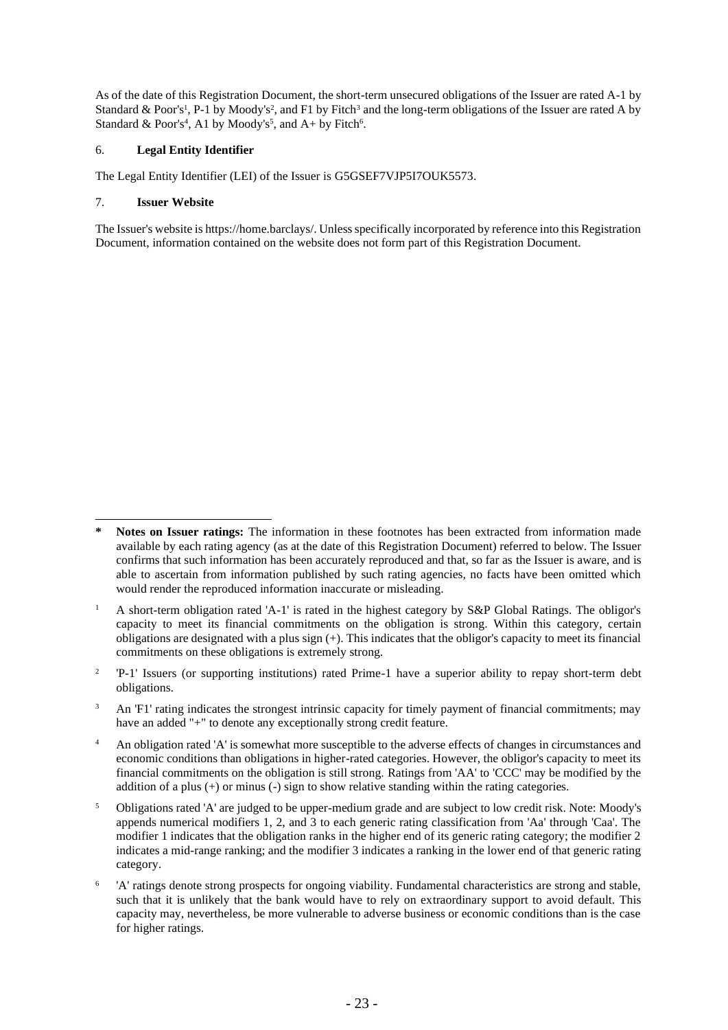As of the date of this Registration Document, the short-term unsecured obligations of the Issuer are rated A-1 by Standard & Poor's<sup>1</sup>, P-1 by Moody's<sup>2</sup>, and F1 by Fitch<sup>3</sup> and the long-term obligations of the Issuer are rated A by Standard & Poor's<sup>4</sup>, A1 by Moody's<sup>5</sup>, and A+ by Fitch<sup>6</sup>.

# 6. **Legal Entity Identifier**

The Legal Entity Identifier (LEI) of the Issuer is G5GSEF7VJP5I7OUK5573.

# 7. **Issuer Website**

The Issuer's website is https://home.barclays/. Unless specifically incorporated by reference into this Registration Document, information contained on the website does not form part of this Registration Document.

2 'P-1' Issuers (or supporting institutions) rated Prime-1 have a superior ability to repay short-term debt obligations.

<sup>3</sup> An 'F1' rating indicates the strongest intrinsic capacity for timely payment of financial commitments; may have an added "+" to denote any exceptionally strong credit feature.

<sup>4</sup> An obligation rated 'A' is somewhat more susceptible to the adverse effects of changes in circumstances and economic conditions than obligations in higher-rated categories. However, the obligor's capacity to meet its financial commitments on the obligation is still strong. Ratings from 'AA' to 'CCC' may be modified by the addition of a plus (+) or minus (-) sign to show relative standing within the rating categories.

<sup>5</sup> Obligations rated 'A' are judged to be upper-medium grade and are subject to low credit risk. Note: Moody's appends numerical modifiers 1, 2, and 3 to each generic rating classification from 'Aa' through 'Caa'. The modifier 1 indicates that the obligation ranks in the higher end of its generic rating category; the modifier 2 indicates a mid-range ranking; and the modifier 3 indicates a ranking in the lower end of that generic rating category.

6 'A' ratings denote strong prospects for ongoing viability. Fundamental characteristics are strong and stable, such that it is unlikely that the bank would have to rely on extraordinary support to avoid default. This capacity may, nevertheless, be more vulnerable to adverse business or economic conditions than is the case for higher ratings.

**<sup>\*</sup> Notes on Issuer ratings:** The information in these footnotes has been extracted from information made available by each rating agency (as at the date of this Registration Document) referred to below. The Issuer confirms that such information has been accurately reproduced and that, so far as the Issuer is aware, and is able to ascertain from information published by such rating agencies, no facts have been omitted which would render the reproduced information inaccurate or misleading.

<sup>1</sup> A short-term obligation rated 'A-1' is rated in the highest category by S&P Global Ratings. The obligor's capacity to meet its financial commitments on the obligation is strong. Within this category, certain obligations are designated with a plus sign (+). This indicates that the obligor's capacity to meet its financial commitments on these obligations is extremely strong.